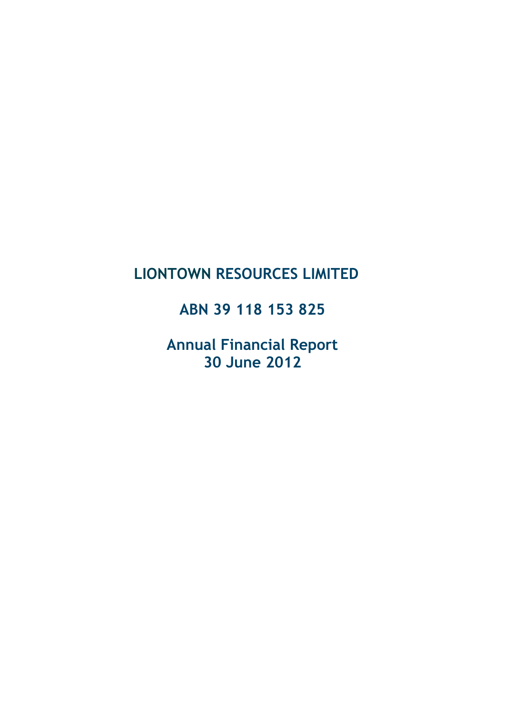# **LIONTOWN RESOURCES LIMITED**

# **ABN 39 118 153 825**

**Annual Financial Report 30 June 2012**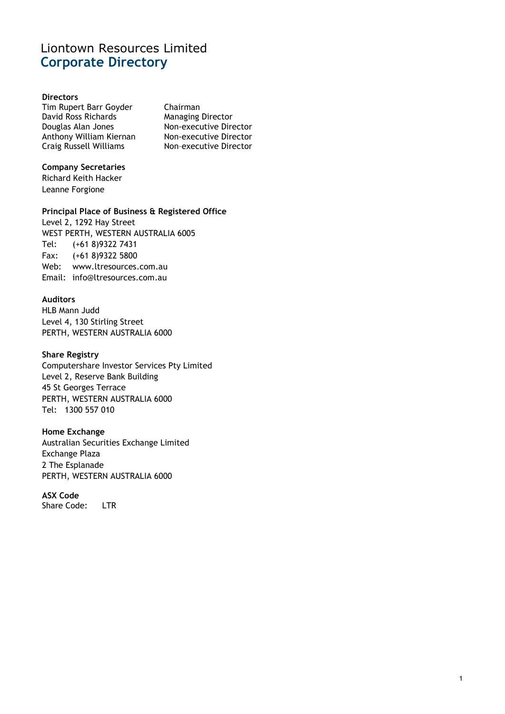# Liontown Resources Limited **Corporate Directory**

#### **Directors**

Tim Rupert Barr Goyder Chairman<br>
David Ross Richards

Chairman Managing Director David Ross Richards<br>Douglas Alan Jones Anthony William Kiernan Mon-executive Director<br>Craig Russell Williams Non-executive Director Craig Russell Williams

**Non-executive Director**<br>Non-executive Director

# **Company Secretaries** Richard Keith Hacker Leanne Forgione

### **Principal Place of Business & Registered Office**

Level 2, 1292 Hay Street WEST PERTH, WESTERN AUSTRALIA 6005 Tel: (+61 8)9322 7431 Fax: (+61 8)9322 5800 Web: www.ltresources.com.au Email: info@ltresources.com.au

### **Auditors**

HLB Mann Judd Level 4, 130 Stirling Street PERTH, WESTERN AUSTRALIA 6000

### **Share Registry**

Computershare Investor Services Pty Limited Level 2, Reserve Bank Building 45 St Georges Terrace PERTH, WESTERN AUSTRALIA 6000 Tel: 1300 557 010

### **Home Exchange**

Australian Securities Exchange Limited Exchange Plaza 2 The Esplanade PERTH, WESTERN AUSTRALIA 6000

#### **ASX Code**

Share Code: LTR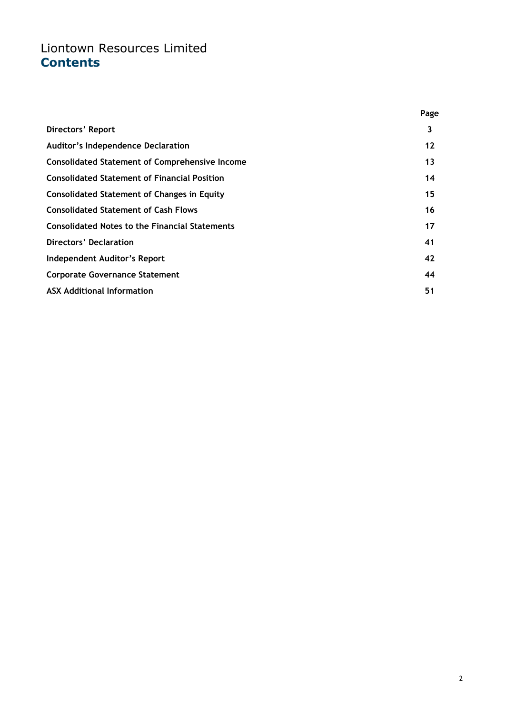# Liontown Resources Limited **Contents**

|                                                       | Page |
|-------------------------------------------------------|------|
| Directors' Report                                     | 3    |
| Auditor's Independence Declaration                    | 12   |
| <b>Consolidated Statement of Comprehensive Income</b> | 13   |
| <b>Consolidated Statement of Financial Position</b>   | 14   |
| <b>Consolidated Statement of Changes in Equity</b>    | 15   |
| <b>Consolidated Statement of Cash Flows</b>           | 16   |
| <b>Consolidated Notes to the Financial Statements</b> | 17   |
| Directors' Declaration                                | 41   |
| Independent Auditor's Report                          | 42   |
| <b>Corporate Governance Statement</b>                 | 44   |
| <b>ASX Additional Information</b>                     | 51   |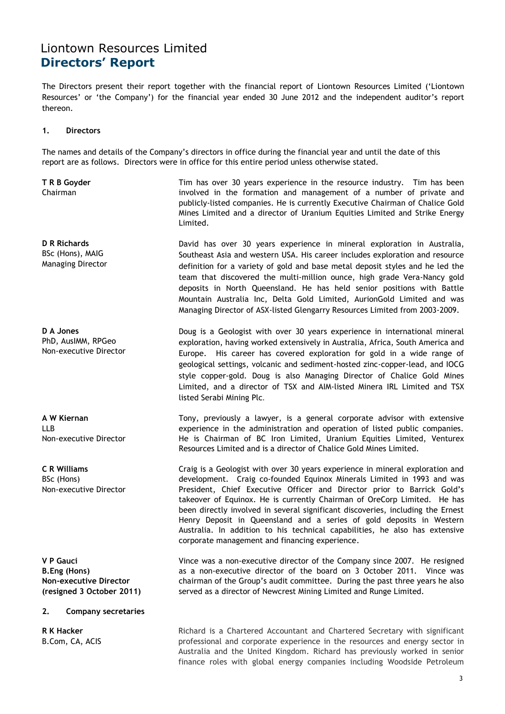The Directors present their report together with the financial report of Liontown Resources Limited ('Liontown Resources' or 'the Company') for the financial year ended 30 June 2012 and the independent auditor's report thereon.

#### **1. Directors**

The names and details of the Company's directors in office during the financial year and until the date of this report are as follows. Directors were in office for this entire period unless otherwise stated.

**T R B Goyder** Chairman Tim has over 30 years experience in the resource industry. Tim has been involved in the formation and management of a number of private and publicly-listed companies. He is currently Executive Chairman of Chalice Gold Mines Limited and a director of Uranium Equities Limited and Strike Energy Limited.

> David has over 30 years experience in mineral exploration in Australia, Southeast Asia and western USA. His career includes exploration and resource definition for a variety of gold and base metal deposit styles and he led the team that discovered the multi-million ounce, high grade Vera-Nancy gold deposits in North Queensland. He has held senior positions with Battle Mountain Australia Inc, Delta Gold Limited, AurionGold Limited and was Managing Director of ASX-listed Glengarry Resources Limited from 2003-2009.

> Doug is a Geologist with over 30 years experience in international mineral exploration, having worked extensively in Australia, Africa, South America and Europe. His career has covered exploration for gold in a wide range of geological settings, volcanic and sediment-hosted zinc-copper-lead, and IOCG style copper-gold. Doug is also Managing Director of Chalice Gold Mines Limited, and a director of TSX and AIM-listed Minera IRL Limited and TSX listed Serabi Mining Plc.

> Tony, previously a lawyer, is a general corporate advisor with extensive experience in the administration and operation of listed public companies. He is Chairman of BC Iron Limited, Uranium Equities Limited, Venturex Resources Limited and is a director of Chalice Gold Mines Limited.

> Craig is a Geologist with over 30 years experience in mineral exploration and development. Craig co-founded Equinox Minerals Limited in 1993 and was President, Chief Executive Officer and Director prior to Barrick Gold's takeover of Equinox. He is currently Chairman of OreCorp Limited. He has been directly involved in several significant discoveries, including the Ernest Henry Deposit in Queensland and a series of gold deposits in Western Australia. In addition to his technical capabilities, he also has extensive corporate management and financing experience.

> Vince was a non-executive director of the Company since 2007. He resigned as a non-executive director of the board on 3 October 2011. Vince was chairman of the Group's audit committee. During the past three years he also served as a director of Newcrest Mining Limited and Runge Limited.

> Richard is a Chartered Accountant and Chartered Secretary with significant professional and corporate experience in the resources and energy sector in Australia and the United Kingdom. Richard has previously worked in senior finance roles with global energy companies including Woodside Petroleum

**D R Richards** BSc (Hons), MAIG Managing Director

**D A Jones** PhD, AusIMM, RPGeo Non-executive Director

**A W Kiernan** LLB Non-executive Director

**C R Williams** BSc (Hons) Non-executive Director

**V P Gauci B.Eng (Hons) Non-executive Director (resigned 3 October 2011)**

#### **2. Company secretaries**

**R K Hacker** B.Com, CA, ACIS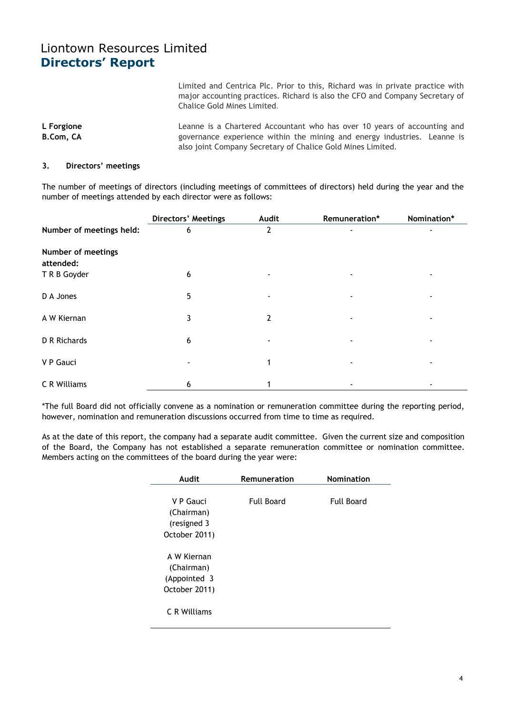Limited and Centrica Plc. Prior to this, Richard was in private practice with major accounting practices. Richard is also the CFO and Company Secretary of Chalice Gold Mines Limited. **L Forgione B.Com, CA** Leanne is a Chartered Accountant who has over 10 years of accounting and governance experience within the mining and energy industries. Leanne is also joint Company Secretary of Chalice Gold Mines Limited.

# **3. Directors' meetings**

The number of meetings of directors (including meetings of committees of directors) held during the year and the number of meetings attended by each director were as follows:

|                                 | <b>Directors' Meetings</b> | Audit | Remuneration* | Nomination* |
|---------------------------------|----------------------------|-------|---------------|-------------|
| Number of meetings held:        | 6                          | 2     |               |             |
| Number of meetings<br>attended: |                            |       |               |             |
| T R B Goyder                    | 6                          |       |               |             |
| D A Jones                       | 5                          |       |               |             |
| A W Kiernan                     | 3                          | 2     |               |             |
| D R Richards                    | 6                          |       |               |             |
| V P Gauci                       |                            | 1     |               |             |
| C R Williams                    | 6                          |       |               |             |

\*The full Board did not officially convene as a nomination or remuneration committee during the reporting period, however, nomination and remuneration discussions occurred from time to time as required.

As at the date of this report, the company had a separate audit committee. Given the current size and composition of the Board, the Company has not established a separate remuneration committee or nomination committee. Members acting on the committees of the board during the year were:

| Audit                                                      | Remuneration      | <b>Nomination</b> |
|------------------------------------------------------------|-------------------|-------------------|
| V P Gauci<br>(Chairman)<br>(resigned 3<br>October 2011)    | <b>Full Board</b> | <b>Full Board</b> |
| A W Kiernan<br>(Chairman)<br>(Appointed 3<br>October 2011) |                   |                   |
| C R Williams                                               |                   |                   |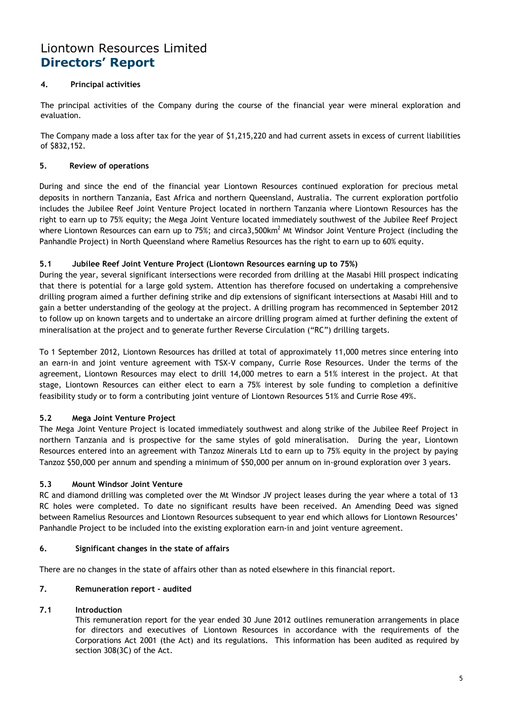# **4. Principal activities**

The principal activities of the Company during the course of the financial year were mineral exploration and evaluation.

The Company made a loss after tax for the year of \$1,215,220 and had current assets in excess of current liabilities of \$832,152.

### **5. Review of operations**

During and since the end of the financial year Liontown Resources continued exploration for precious metal deposits in northern Tanzania, East Africa and northern Queensland, Australia. The current exploration portfolio includes the Jubilee Reef Joint Venture Project located in northern Tanzania where Liontown Resources has the right to earn up to 75% equity; the Mega Joint Venture located immediately southwest of the Jubilee Reef Project where Liontown Resources can earn up to 75%; and circa3,500km<sup>2</sup> Mt Windsor Joint Venture Project (including the Panhandle Project) in North Queensland where Ramelius Resources has the right to earn up to 60% equity.

# **5.1 Jubilee Reef Joint Venture Project (Liontown Resources earning up to 75%)**

During the year, several significant intersections were recorded from drilling at the Masabi Hill prospect indicating that there is potential for a large gold system. Attention has therefore focused on undertaking a comprehensive drilling program aimed a further defining strike and dip extensions of significant intersections at Masabi Hill and to gain a better understanding of the geology at the project. A drilling program has recommenced in September 2012 to follow up on known targets and to undertake an aircore drilling program aimed at further defining the extent of mineralisation at the project and to generate further Reverse Circulation ("RC") drilling targets.

To 1 September 2012, Liontown Resources has drilled at total of approximately 11,000 metres since entering into an earn-in and joint venture agreement with TSX-V company, Currie Rose Resources. Under the terms of the agreement, Liontown Resources may elect to drill 14,000 metres to earn a 51% interest in the project. At that stage, Liontown Resources can either elect to earn a 75% interest by sole funding to completion a definitive feasibility study or to form a contributing joint venture of Liontown Resources 51% and Currie Rose 49%.

# **5.2 Mega Joint Venture Project**

The Mega Joint Venture Project is located immediately southwest and along strike of the Jubilee Reef Project in northern Tanzania and is prospective for the same styles of gold mineralisation. During the year, Liontown Resources entered into an agreement with Tanzoz Minerals Ltd to earn up to 75% equity in the project by paying Tanzoz \$50,000 per annum and spending a minimum of \$50,000 per annum on in-ground exploration over 3 years.

### **5.3 Mount Windsor Joint Venture**

RC and diamond drilling was completed over the Mt Windsor JV project leases during the year where a total of 13 RC holes were completed. To date no significant results have been received. An Amending Deed was signed between Ramelius Resources and Liontown Resources subsequent to year end which allows for Liontown Resources' Panhandle Project to be included into the existing exploration earn-in and joint venture agreement.

### **6. Significant changes in the state of affairs**

There are no changes in the state of affairs other than as noted elsewhere in this financial report.

# **7. Remuneration report - audited**

### **7.1 Introduction**

This remuneration report for the year ended 30 June 2012 outlines remuneration arrangements in place for directors and executives of Liontown Resources in accordance with the requirements of the Corporations Act 2001 (the Act) and its regulations. This information has been audited as required by section 308(3C) of the Act.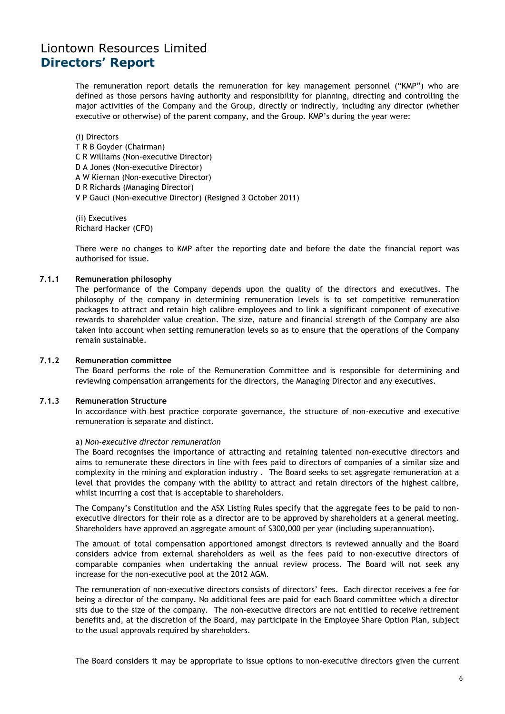The remuneration report details the remuneration for key management personnel ("KMP") who are defined as those persons having authority and responsibility for planning, directing and controlling the major activities of the Company and the Group, directly or indirectly, including any director (whether executive or otherwise) of the parent company, and the Group. KMP's during the year were:

(i) Directors T R B Goyder (Chairman) C R Williams (Non-executive Director) D A Jones (Non-executive Director) A W Kiernan (Non-executive Director) D R Richards (Managing Director) V P Gauci (Non-executive Director) (Resigned 3 October 2011)

(ii) Executives Richard Hacker (CFO)

There were no changes to KMP after the reporting date and before the date the financial report was authorised for issue.

### **7.1.1 Remuneration philosophy**

The performance of the Company depends upon the quality of the directors and executives. The philosophy of the company in determining remuneration levels is to set competitive remuneration packages to attract and retain high calibre employees and to link a significant component of executive rewards to shareholder value creation. The size, nature and financial strength of the Company are also taken into account when setting remuneration levels so as to ensure that the operations of the Company remain sustainable.

#### **7.1.2 Remuneration committee**

The Board performs the role of the Remuneration Committee and is responsible for determining and reviewing compensation arrangements for the directors, the Managing Director and any executives.

#### **7.1.3 Remuneration Structure**

In accordance with best practice corporate governance, the structure of non-executive and executive remuneration is separate and distinct.

#### a) *Non-executive director remuneration*

The Board recognises the importance of attracting and retaining talented non-executive directors and aims to remunerate these directors in line with fees paid to directors of companies of a similar size and complexity in the mining and exploration industry . The Board seeks to set aggregate remuneration at a level that provides the company with the ability to attract and retain directors of the highest calibre, whilst incurring a cost that is acceptable to shareholders.

The Company's Constitution and the ASX Listing Rules specify that the aggregate fees to be paid to nonexecutive directors for their role as a director are to be approved by shareholders at a general meeting. Shareholders have approved an aggregate amount of \$300,000 per year (including superannuation).

The amount of total compensation apportioned amongst directors is reviewed annually and the Board considers advice from external shareholders as well as the fees paid to non-executive directors of comparable companies when undertaking the annual review process. The Board will not seek any increase for the non-executive pool at the 2012 AGM.

The remuneration of non-executive directors consists of directors' fees. Each director receives a fee for being a director of the company. No additional fees are paid for each Board committee which a director sits due to the size of the company. The non-executive directors are not entitled to receive retirement benefits and, at the discretion of the Board, may participate in the Employee Share Option Plan, subject to the usual approvals required by shareholders.

The Board considers it may be appropriate to issue options to non-executive directors given the current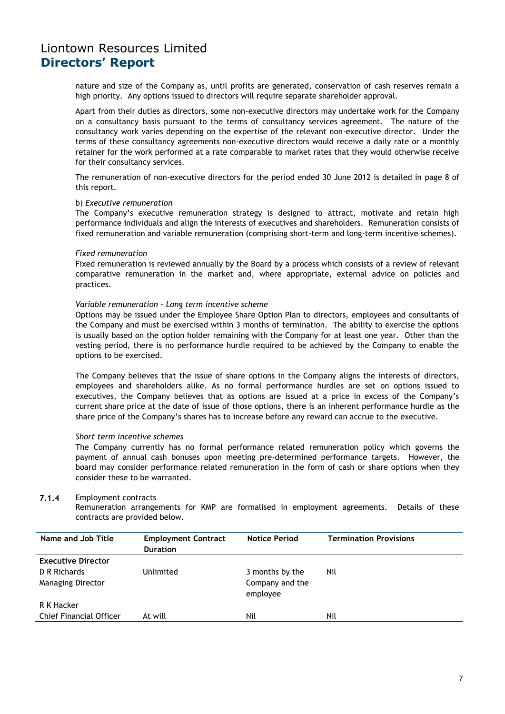nature and size of the Company as, until profits are generated, conservation of cash reserves remain a high priority. Any options issued to directors will require separate shareholder approval.

Apart from their duties as directors, some non-executive directors may undertake work for the Company on a consultancy basis pursuant to the terms of consultancy services agreement. The nature of the consultancy work varies depending on the expertise of the relevant non-executive director. Under the terms of these consultancy agreements non-executive directors would receive a daily rate or a monthly retainer for the work performed at a rate comparable to market rates that they would otherwise receive for their consultancy services.

The remuneration of non-executive directors for the period ended 30 June 2012 is detailed in page 8 of this report.

#### b) *Executive remuneration*

The Company's executive remuneration strategy is designed to attract, motivate and retain high performance individuals and align the interests of executives and shareholders. Remuneration consists of fixed remuneration and variable remuneration (comprising short-term and long-term incentive schemes).

#### *Fixed remuneration*

Fixed remuneration is reviewed annually by the Board by a process which consists of a review of relevant comparative remuneration in the market and, where appropriate, external advice on policies and practices.

#### *Variable remuneration - Long term incentive scheme*

Options may be issued under the Employee Share Option Plan to directors, employees and consultants of the Company and must be exercised within 3 months of termination. The ability to exercise the options is usually based on the option holder remaining with the Company for at least one year. Other than the vesting period, there is no performance hurdle required to be achieved by the Company to enable the options to be exercised.

The Company believes that the issue of share options in the Company aligns the interests of directors, employees and shareholders alike. As no formal performance hurdles are set on options issued to executives, the Company believes that as options are issued at a price in excess of the Company's current share price at the date of issue of those options, there is an inherent performance hurdle as the share price of the Company's shares has to increase before any reward can accrue to the executive.

#### *Short term incentive schemes*

The Company currently has no formal performance related remuneration policy which governs the payment of annual cash bonuses upon meeting pre-determined performance targets. However, the board may consider performance related remuneration in the form of cash or share options when they consider these to be warranted.

#### **7.1.4** Employment contracts

Remuneration arrangements for KMP are formalised in employment agreements. Details of these contracts are provided below.

| Name and Job Title             | <b>Employment Contract</b><br><b>Duration</b> | <b>Notice Period</b> | <b>Termination Provisions</b> |
|--------------------------------|-----------------------------------------------|----------------------|-------------------------------|
| <b>Executive Director</b>      |                                               |                      |                               |
| D R Richards                   | Unlimited                                     | 3 months by the      | Nil                           |
| <b>Managing Director</b>       |                                               | Company and the      |                               |
|                                |                                               | employee             |                               |
| R K Hacker                     |                                               |                      |                               |
| <b>Chief Financial Officer</b> | At will                                       | Nil                  | Nil                           |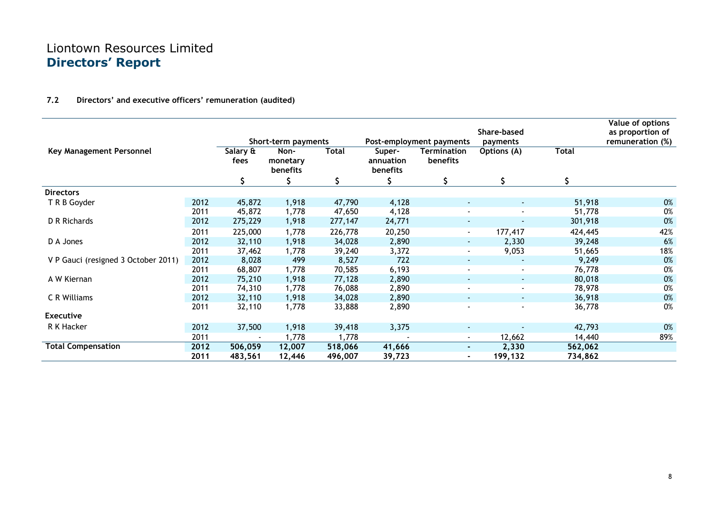# **7.2 Directors' and executive officers' remuneration (audited)**

|                                     |      |                  | Short-term payments          |         |                                 | Post-employment payments | Share-based<br>payments |              | Value of options<br>as proportion of<br>remuneration (%) |
|-------------------------------------|------|------------------|------------------------------|---------|---------------------------------|--------------------------|-------------------------|--------------|----------------------------------------------------------|
| <b>Key Management Personnel</b>     |      | Salary &<br>fees | Non-<br>monetary<br>benefits | Total   | Super-<br>annuation<br>benefits | Termination<br>benefits  | Options (A)             | <b>Total</b> |                                                          |
|                                     |      |                  |                              |         |                                 |                          | \$                      | \$           |                                                          |
| <b>Directors</b>                    |      |                  |                              |         |                                 |                          |                         |              |                                                          |
| T R B Goyder                        | 2012 | 45,872           | 1,918                        | 47,790  | 4,128                           |                          |                         | 51,918       | 0%                                                       |
|                                     | 2011 | 45,872           | 1,778                        | 47,650  | 4,128                           |                          |                         | 51,778       | 0%                                                       |
| D R Richards                        | 2012 | 275,229          | 1,918                        | 277,147 | 24,771                          |                          |                         | 301,918      | 0%                                                       |
|                                     | 2011 | 225,000          | 1,778                        | 226,778 | 20,250                          | $\overline{\phantom{a}}$ | 177,417                 | 424,445      | 42%                                                      |
| D A Jones                           | 2012 | 32,110           | 1,918                        | 34,028  | 2,890                           | $\blacksquare$           | 2,330                   | 39,248       | 6%                                                       |
|                                     | 2011 | 37,462           | 1,778                        | 39,240  | 3,372                           |                          | 9,053                   | 51,665       | 18%                                                      |
| V P Gauci (resigned 3 October 2011) | 2012 | 8,028            | 499                          | 8,527   | 722                             |                          |                         | 9,249        | 0%                                                       |
|                                     | 2011 | 68,807           | 1,778                        | 70,585  | 6,193                           | $\overline{\phantom{a}}$ | $\sim$                  | 76,778       | 0%                                                       |
| A W Kiernan                         | 2012 | 75,210           | 1,918                        | 77,128  | 2,890                           |                          | $\sim$                  | 80,018       | 0%                                                       |
|                                     | 2011 | 74,310           | 1,778                        | 76,088  | 2,890                           |                          | $\sim$                  | 78,978       | 0%                                                       |
| C R Williams                        | 2012 | 32,110           | 1,918                        | 34,028  | 2,890                           |                          | $\sim$                  | 36,918       | 0%                                                       |
|                                     | 2011 | 32,110           | 1,778                        | 33,888  | 2,890                           |                          |                         | 36,778       | 0%                                                       |
| <b>Executive</b>                    |      |                  |                              |         |                                 |                          |                         |              |                                                          |
| R K Hacker                          | 2012 | 37,500           | 1,918                        | 39,418  | 3,375                           |                          |                         | 42,793       | 0%                                                       |
|                                     | 2011 |                  | 1,778                        | 1,778   |                                 | $\overline{\phantom{a}}$ | 12,662                  | 14,440       | 89%                                                      |
| <b>Total Compensation</b>           | 2012 | 506,059          | 12,007                       | 518,066 | 41,666                          | $\blacksquare$           | 2,330                   | 562,062      |                                                          |
|                                     | 2011 | 483,561          | 12,446                       | 496,007 | 39,723                          | $\blacksquare$           | 199,132                 | 734,862      |                                                          |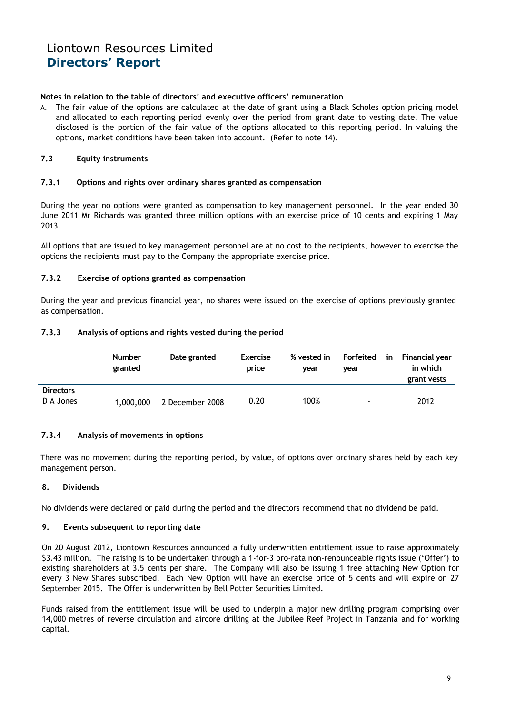#### **Notes in relation to the table of directors' and executive officers' remuneration**

A. The fair value of the options are calculated at the date of grant using a Black Scholes option pricing model and allocated to each reporting period evenly over the period from grant date to vesting date. The value disclosed is the portion of the fair value of the options allocated to this reporting period. In valuing the options, market conditions have been taken into account. (Refer to note 14).

### **7.3 Equity instruments**

### **7.3.1 Options and rights over ordinary shares granted as compensation**

During the year no options were granted as compensation to key management personnel. In the year ended 30 June 2011 Mr Richards was granted three million options with an exercise price of 10 cents and expiring 1 May 2013.

All options that are issued to key management personnel are at no cost to the recipients, however to exercise the options the recipients must pay to the Company the appropriate exercise price.

### **7.3.2 Exercise of options granted as compensation**

During the year and previous financial year, no shares were issued on the exercise of options previously granted as compensation.

### **7.3.3 Analysis of options and rights vested during the period**

|                               | <b>Number</b><br>granted | Date granted    | Exercise<br>price | % vested in<br>year | Forfeited<br>vear        | in | Financial year<br>in which<br>grant vests |
|-------------------------------|--------------------------|-----------------|-------------------|---------------------|--------------------------|----|-------------------------------------------|
| <b>Directors</b><br>D A Jones | 1,000,000                | 2 December 2008 | 0.20              | 100%                | $\overline{\phantom{a}}$ |    | 2012                                      |

#### **7.3.4 Analysis of movements in options**

There was no movement during the reporting period, by value, of options over ordinary shares held by each key management person.

#### **8. Dividends**

No dividends were declared or paid during the period and the directors recommend that no dividend be paid.

### **9. Events subsequent to reporting date**

On 20 August 2012, Liontown Resources announced a fully underwritten entitlement issue to raise approximately \$3.43 million. The raising is to be undertaken through a 1-for-3 pro-rata non-renounceable rights issue ('Offer') to existing shareholders at 3.5 cents per share. The Company will also be issuing 1 free attaching New Option for every 3 New Shares subscribed. Each New Option will have an exercise price of 5 cents and will expire on 27 September 2015. The Offer is underwritten by Bell Potter Securities Limited.

Funds raised from the entitlement issue will be used to underpin a major new drilling program comprising over 14,000 metres of reverse circulation and aircore drilling at the Jubilee Reef Project in Tanzania and for working capital.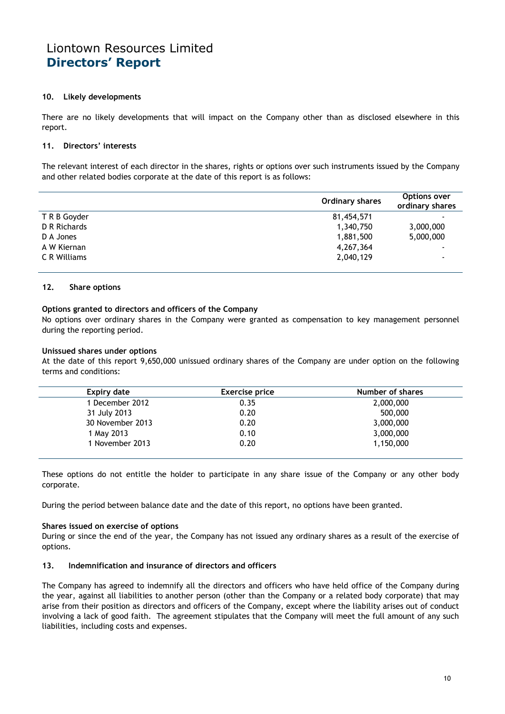#### **10. Likely developments**

There are no likely developments that will impact on the Company other than as disclosed elsewhere in this report.

### **11. Directors' interests**

The relevant interest of each director in the shares, rights or options over such instruments issued by the Company and other related bodies corporate at the date of this report is as follows:

|              | <b>Ordinary shares</b> | Options over<br>ordinary shares |
|--------------|------------------------|---------------------------------|
| T R B Goyder | 81,454,571             |                                 |
| D R Richards | 1,340,750              | 3,000,000                       |
| D A Jones    | 1,881,500              | 5,000,000                       |
| A W Kiernan  | 4,267,364              |                                 |
| C R Williams | 2,040,129              | $\blacksquare$                  |

#### **12. Share options**

### **Options granted to directors and officers of the Company**

No options over ordinary shares in the Company were granted as compensation to key management personnel during the reporting period.

#### **Unissued shares under options**

At the date of this report 9,650,000 unissued ordinary shares of the Company are under option on the following terms and conditions:

| Expiry date      | Exercise price | Number of shares |
|------------------|----------------|------------------|
| 1 December 2012  | 0.35           | 2,000,000        |
| 31 July 2013     | 0.20           | 500,000          |
| 30 November 2013 | 0.20           | 3,000,000        |
| 1 May 2013       | 0.10           | 3,000,000        |
| 1 November 2013  | 0.20           | 1,150,000        |

These options do not entitle the holder to participate in any share issue of the Company or any other body corporate.

During the period between balance date and the date of this report, no options have been granted.

#### **Shares issued on exercise of options**

During or since the end of the year, the Company has not issued any ordinary shares as a result of the exercise of options.

#### **13. Indemnification and insurance of directors and officers**

The Company has agreed to indemnify all the directors and officers who have held office of the Company during the year, against all liabilities to another person (other than the Company or a related body corporate) that may arise from their position as directors and officers of the Company, except where the liability arises out of conduct involving a lack of good faith. The agreement stipulates that the Company will meet the full amount of any such liabilities, including costs and expenses.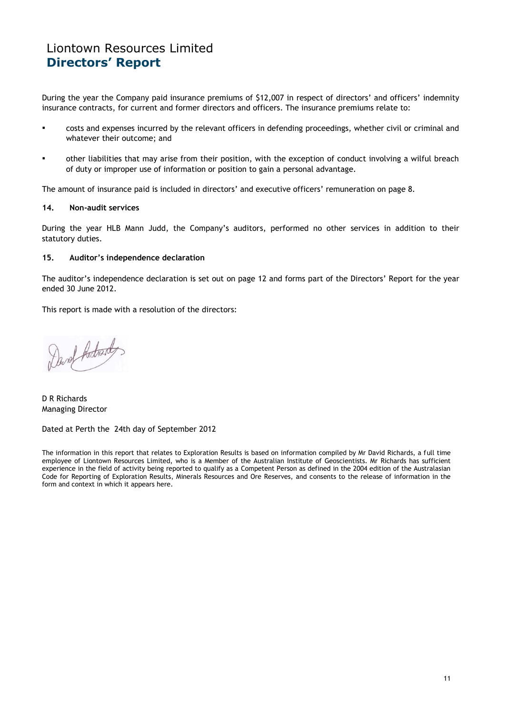During the year the Company paid insurance premiums of \$12,007 in respect of directors' and officers' indemnity insurance contracts, for current and former directors and officers. The insurance premiums relate to:

- costs and expenses incurred by the relevant officers in defending proceedings, whether civil or criminal and whatever their outcome; and
- other liabilities that may arise from their position, with the exception of conduct involving a wilful breach of duty or improper use of information or position to gain a personal advantage.

The amount of insurance paid is included in directors' and executive officers' remuneration on page 8.

#### **14. Non-audit services**

During the year HLB Mann Judd, the Company's auditors, performed no other services in addition to their statutory duties.

#### **15. Auditor's independence declaration**

The auditor's independence declaration is set out on page 12 and forms part of the Directors' Report for the year ended 30 June 2012.

This report is made with a resolution of the directors:

David Andrews

D R Richards Managing Director

Dated at Perth the 24th day of September 2012

The information in this report that relates to Exploration Results is based on information compiled by Mr David Richards, a full time employee of Liontown Resources Limited, who is a Member of the Australian Institute of Geoscientists. Mr Richards has sufficient experience in the field of activity being reported to qualify as a Competent Person as defined in the 2004 edition of the Australasian Code for Reporting of Exploration Results, Minerals Resources and Ore Reserves, and consents to the release of information in the form and context in which it appears here.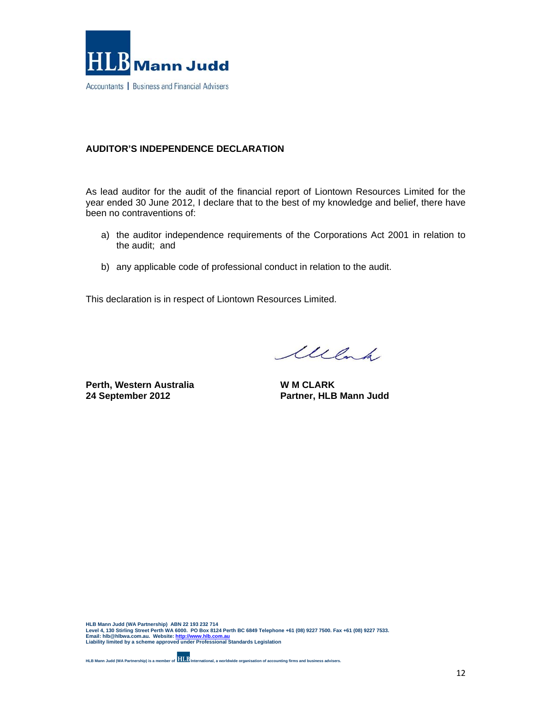

# **AUDITOR'S INDEPENDENCE DECLARATION**

As lead auditor for the audit of the financial report of Liontown Resources Limited for the year ended 30 June 2012, I declare that to the best of my knowledge and belief, there have been no contraventions of:

- a) the auditor independence requirements of the Corporations Act 2001 in relation to the audit; and
- b) any applicable code of professional conduct in relation to the audit.

This declaration is in respect of Liontown Resources Limited.

Mlah

**Perth, Western Australia 24 September 2012**

**W M CLARK Partner, HLB Mann Judd**

**HLB Mann Judd (WA Partnership) ABN 22 193 232 714**  Level 4, 130 Stirling Street Perth WA 6000. PO Box 8124 Perth BC 6849 Telephone +61 (08) 9227 7500. Fax +61 (08) 9227 7533.<br>Email: hIb@hIbwa.com.au. Website: <u>http://www.hIb.com.au</u><br>Liability limited by a scheme approve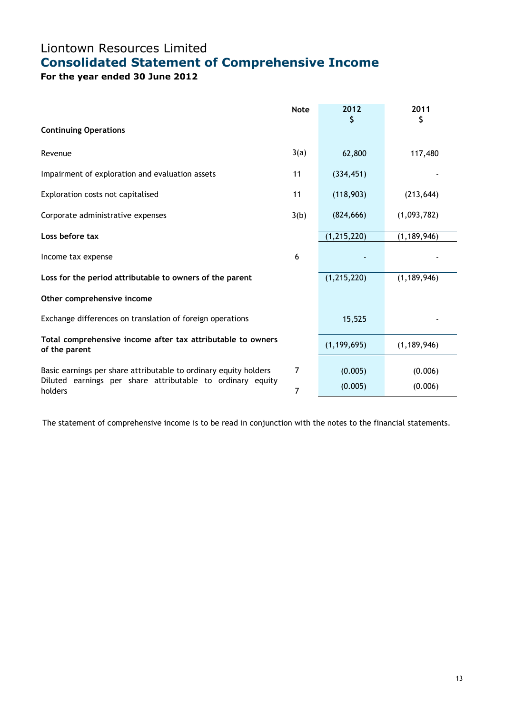# Liontown Resources Limited **Consolidated Statement of Comprehensive Income**

**For the year ended 30 June 2012**

|                                                                              | <b>Note</b> | 2012<br>\$    | 2011<br>\$    |
|------------------------------------------------------------------------------|-------------|---------------|---------------|
| <b>Continuing Operations</b>                                                 |             |               |               |
| Revenue                                                                      | 3(a)        | 62,800        | 117,480       |
| Impairment of exploration and evaluation assets                              | 11          | (334, 451)    |               |
| Exploration costs not capitalised                                            | 11          | (118,903)     | (213, 644)    |
| Corporate administrative expenses                                            | 3(b)        | (824, 666)    | (1,093,782)   |
| Loss before tax                                                              |             | (1, 215, 220) | (1, 189, 946) |
| Income tax expense                                                           | 6           |               |               |
| Loss for the period attributable to owners of the parent                     |             | (1, 215, 220) | (1, 189, 946) |
| Other comprehensive income                                                   |             |               |               |
| Exchange differences on translation of foreign operations                    |             | 15,525        |               |
| Total comprehensive income after tax attributable to owners<br>of the parent |             | (1, 199, 695) | (1, 189, 946) |
| Basic earnings per share attributable to ordinary equity holders             |             | (0.005)       | (0.006)       |
| Diluted earnings per share attributable to ordinary equity<br>holders        | 7           | (0.005)       | (0.006)       |

The statement of comprehensive income is to be read in conjunction with the notes to the financial statements.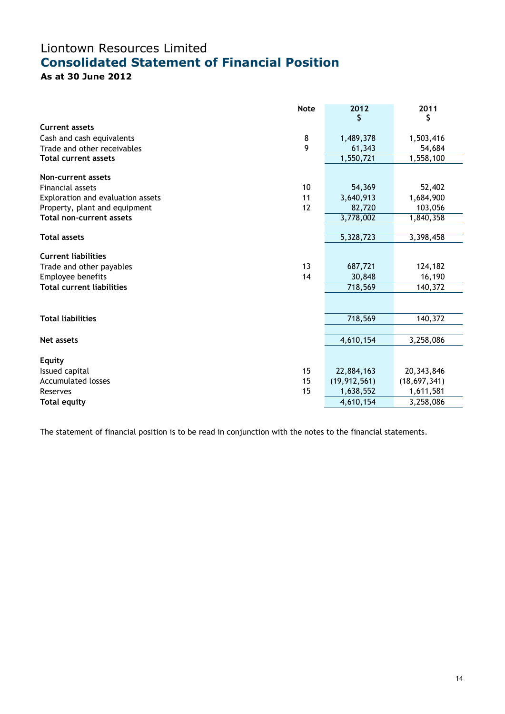# Liontown Resources Limited **Consolidated Statement of Financial Position**

**As at 30 June 2012**

|                                   | <b>Note</b> | 2012           | 2011         |
|-----------------------------------|-------------|----------------|--------------|
|                                   |             | \$             | \$           |
| <b>Current assets</b>             |             |                |              |
| Cash and cash equivalents         | 8           | 1,489,378      | 1,503,416    |
| Trade and other receivables       | 9           | 61,343         | 54,684       |
| <b>Total current assets</b>       |             | 1,550,721      | 1,558,100    |
| Non-current assets                |             |                |              |
| Financial assets                  | 10          | 54,369         | 52,402       |
| Exploration and evaluation assets | 11          | 3,640,913      | 1,684,900    |
| Property, plant and equipment     | 12          | 82,720         | 103,056      |
| Total non-current assets          |             | 3,778,002      | 1,840,358    |
|                                   |             |                |              |
| <b>Total assets</b>               |             | 5,328,723      | 3,398,458    |
| <b>Current liabilities</b>        |             |                |              |
| Trade and other payables          | 13          | 687,721        | 124,182      |
| Employee benefits                 | 14          | 30,848         | 16,190       |
| <b>Total current liabilities</b>  |             | 718,569        | 140,372      |
|                                   |             |                |              |
| <b>Total liabilities</b>          |             | 718,569        | 140,372      |
|                                   |             |                |              |
| Net assets                        |             | 4,610,154      | 3,258,086    |
|                                   |             |                |              |
| <b>Equity</b>                     | 15          |                |              |
| Issued capital                    |             | 22,884,163     | 20,343,846   |
| <b>Accumulated losses</b>         | 15          | (19, 912, 561) | (18,697,341) |
| Reserves                          | 15          | 1,638,552      | 1,611,581    |
| <b>Total equity</b>               |             | 4,610,154      | 3,258,086    |

The statement of financial position is to be read in conjunction with the notes to the financial statements.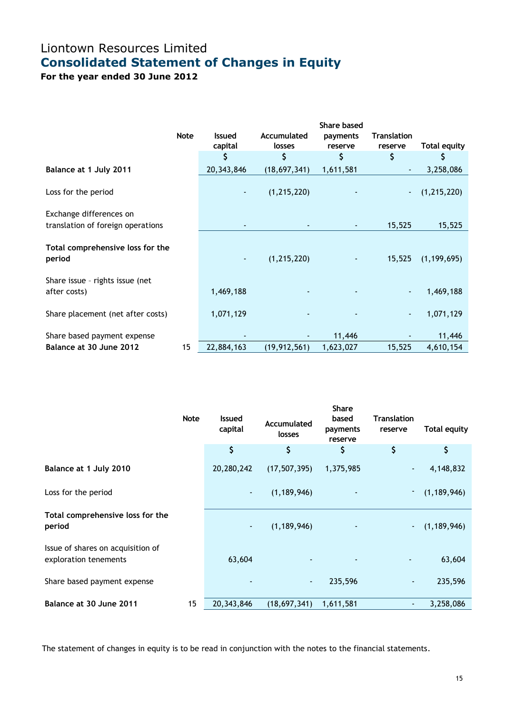# Liontown Resources Limited **Consolidated Statement of Changes in Equity**

**For the year ended 30 June 2012**

|                                                              |             |                          |                       | <b>Share based</b>  |                               |                     |
|--------------------------------------------------------------|-------------|--------------------------|-----------------------|---------------------|-------------------------------|---------------------|
|                                                              | <b>Note</b> | <b>Issued</b><br>capital | Accumulated<br>losses | payments<br>reserve | <b>Translation</b><br>reserve | <b>Total equity</b> |
|                                                              |             | Ş                        | \$                    | \$                  | \$                            | \$                  |
| Balance at 1 July 2011                                       |             | 20, 343, 846             | (18,697,341)          | 1,611,581           | $\overline{\phantom{a}}$      | 3,258,086           |
| Loss for the period                                          |             |                          | (1, 215, 220)         |                     | $\blacksquare$                | (1, 215, 220)       |
| Exchange differences on<br>translation of foreign operations |             |                          |                       |                     | 15,525                        | 15,525              |
| Total comprehensive loss for the<br>period                   |             |                          | (1, 215, 220)         |                     | 15,525                        | (1, 199, 695)       |
| Share issue - rights issue (net<br>after costs)              |             | 1,469,188                |                       |                     | ٠                             | 1,469,188           |
| Share placement (net after costs)                            |             | 1,071,129                |                       |                     | $\blacksquare$                | 1,071,129           |
| Share based payment expense                                  |             |                          |                       | 11,446              |                               | 11,446              |
| Balance at 30 June 2012                                      | 15          | 22,884,163               | (19, 912, 561)        | 1,623,027           | 15,525                        | 4,610,154           |

|                                                            | <b>Note</b> | <b>Issued</b><br>capital | Accumulated<br>losses | <b>Share</b><br>based<br>payments<br>reserve | <b>Translation</b><br>reserve | Total equity  |
|------------------------------------------------------------|-------------|--------------------------|-----------------------|----------------------------------------------|-------------------------------|---------------|
|                                                            |             | \$                       | \$                    | \$                                           | \$                            | \$            |
| Balance at 1 July 2010                                     |             | 20,280,242               | (17, 507, 395)        | 1,375,985                                    | ٠                             | 4,148,832     |
| Loss for the period                                        |             | $\sim$                   | (1, 189, 946)         |                                              | × 1                           | (1, 189, 946) |
| Total comprehensive loss for the<br>period                 |             | $\blacksquare$           | (1, 189, 946)         |                                              | $\blacksquare$                | (1, 189, 946) |
| Issue of shares on acquisition of<br>exploration tenements |             | 63,604                   |                       |                                              |                               | 63,604        |
| Share based payment expense                                |             |                          | $\blacksquare$        | 235,596                                      |                               | 235,596       |
| Balance at 30 June 2011                                    | 15          | 20,343,846               | (18,697,341)          | 1,611,581                                    |                               | 3,258,086     |

The statement of changes in equity is to be read in conjunction with the notes to the financial statements.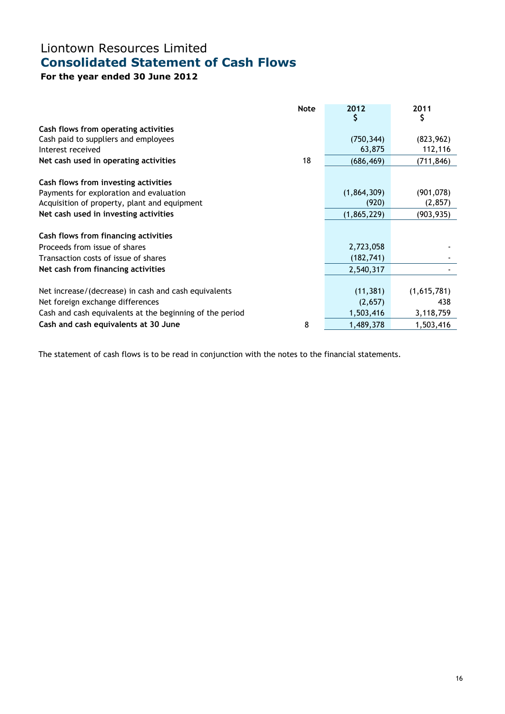# Liontown Resources Limited **Consolidated Statement of Cash Flows**

**For the year ended 30 June 2012**

|                                                          | <b>Note</b> | 2012<br>\$    | 2011<br>\$  |
|----------------------------------------------------------|-------------|---------------|-------------|
| Cash flows from operating activities                     |             |               |             |
| Cash paid to suppliers and employees                     |             | (750, 344)    | (823, 962)  |
| Interest received                                        |             | 63,875        | 112,116     |
| Net cash used in operating activities                    | 18          | (686, 469)    | (711, 846)  |
|                                                          |             |               |             |
| Cash flows from investing activities                     |             |               |             |
| Payments for exploration and evaluation                  |             | (1,864,309)   | (901, 078)  |
| Acquisition of property, plant and equipment             |             | (920)         | (2, 857)    |
| Net cash used in investing activities                    |             | (1, 865, 229) | (903,935)   |
|                                                          |             |               |             |
| Cash flows from financing activities                     |             |               |             |
| Proceeds from issue of shares                            |             | 2,723,058     |             |
| Transaction costs of issue of shares                     |             | (182, 741)    |             |
| Net cash from financing activities                       |             | 2,540,317     |             |
|                                                          |             |               |             |
| Net increase/(decrease) in cash and cash equivalents     |             | (11, 381)     | (1,615,781) |
| Net foreign exchange differences                         |             | (2,657)       | 438         |
| Cash and cash equivalents at the beginning of the period |             | 1,503,416     | 3,118,759   |
| Cash and cash equivalents at 30 June                     | 8           | 1,489,378     | 1,503,416   |

The statement of cash flows is to be read in conjunction with the notes to the financial statements.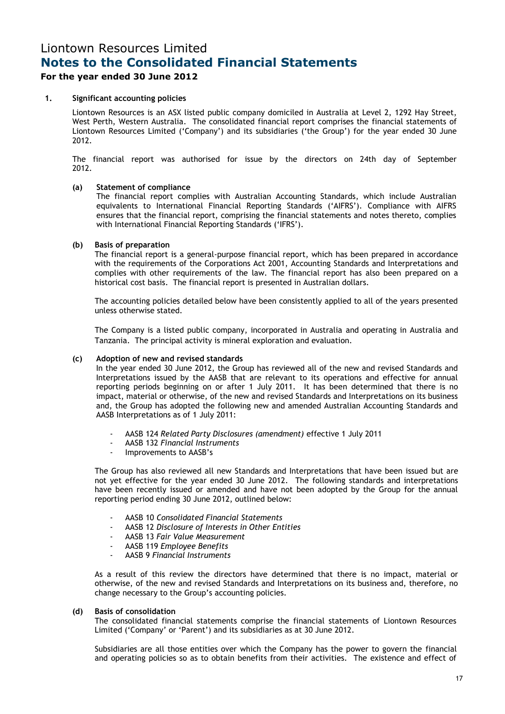# **For the year ended 30 June 2012**

#### **1. Significant accounting policies**

Liontown Resources is an ASX listed public company domiciled in Australia at Level 2, 1292 Hay Street, West Perth, Western Australia. The consolidated financial report comprises the financial statements of Liontown Resources Limited ('Company') and its subsidiaries ('the Group') for the year ended 30 June 2012.

The financial report was authorised for issue by the directors on 24th day of September 2012.

#### **(a) Statement of compliance**

The financial report complies with Australian Accounting Standards, which include Australian equivalents to International Financial Reporting Standards ('AIFRS'). Compliance with AIFRS ensures that the financial report, comprising the financial statements and notes thereto, complies with International Financial Reporting Standards ('IFRS').

#### **(b) Basis of preparation**

The financial report is a general-purpose financial report, which has been prepared in accordance with the requirements of the Corporations Act 2001, Accounting Standards and Interpretations and complies with other requirements of the law. The financial report has also been prepared on a historical cost basis. The financial report is presented in Australian dollars.

The accounting policies detailed below have been consistently applied to all of the years presented unless otherwise stated.

The Company is a listed public company, incorporated in Australia and operating in Australia and Tanzania. The principal activity is mineral exploration and evaluation.

#### **(c) Adoption of new and revised standards**

In the year ended 30 June 2012, the Group has reviewed all of the new and revised Standards and Interpretations issued by the AASB that are relevant to its operations and effective for annual reporting periods beginning on or after 1 July 2011. It has been determined that there is no impact, material or otherwise, of the new and revised Standards and Interpretations on its business and, the Group has adopted the following new and amended Australian Accounting Standards and AASB Interpretations as of 1 July 2011:

- AASB 124 *Related Party Disclosures (amendment)* effective 1 July 2011
- AASB 132 *Financial Instruments*
- Improvements to AASB's

The Group has also reviewed all new Standards and Interpretations that have been issued but are not yet effective for the year ended 30 June 2012. The following standards and interpretations have been recently issued or amended and have not been adopted by the Group for the annual reporting period ending 30 June 2012, outlined below:

- AASB 10 *Consolidated Financial Statements*
- AASB 12 *Disclosure of Interests in Other Entities*
- AASB 13 *Fair Value Measurement*
- AASB 119 *Employee Benefits*
- AASB 9 *Financial Instruments*

As a result of this review the directors have determined that there is no impact, material or otherwise, of the new and revised Standards and Interpretations on its business and, therefore, no change necessary to the Group's accounting policies.

#### **(d) Basis of consolidation**

The consolidated financial statements comprise the financial statements of Liontown Resources Limited ('Company' or 'Parent') and its subsidiaries as at 30 June 2012.

Subsidiaries are all those entities over which the Company has the power to govern the financial and operating policies so as to obtain benefits from their activities. The existence and effect of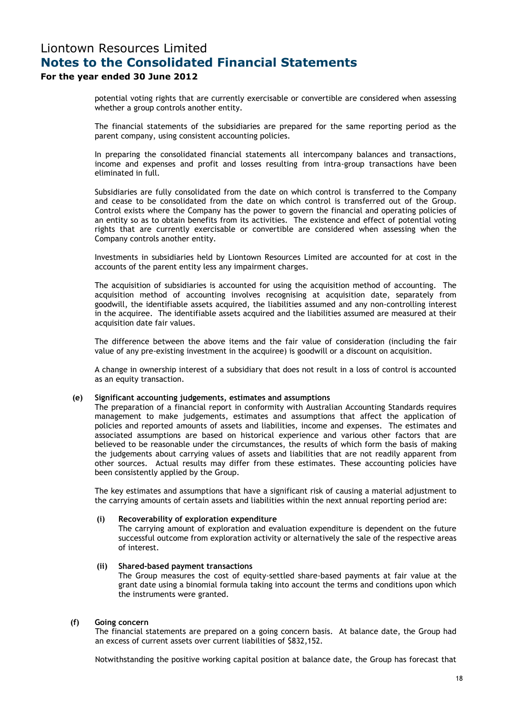# **For the year ended 30 June 2012**

potential voting rights that are currently exercisable or convertible are considered when assessing whether a group controls another entity.

The financial statements of the subsidiaries are prepared for the same reporting period as the parent company, using consistent accounting policies.

In preparing the consolidated financial statements all intercompany balances and transactions, income and expenses and profit and losses resulting from intra-group transactions have been eliminated in full.

Subsidiaries are fully consolidated from the date on which control is transferred to the Company and cease to be consolidated from the date on which control is transferred out of the Group. Control exists where the Company has the power to govern the financial and operating policies of an entity so as to obtain benefits from its activities. The existence and effect of potential voting rights that are currently exercisable or convertible are considered when assessing when the Company controls another entity.

Investments in subsidiaries held by Liontown Resources Limited are accounted for at cost in the accounts of the parent entity less any impairment charges.

The acquisition of subsidiaries is accounted for using the acquisition method of accounting. The acquisition method of accounting involves recognising at acquisition date, separately from goodwill, the identifiable assets acquired, the liabilities assumed and any non-controlling interest in the acquiree. The identifiable assets acquired and the liabilities assumed are measured at their acquisition date fair values.

The difference between the above items and the fair value of consideration (including the fair value of any pre-existing investment in the acquiree) is goodwill or a discount on acquisition.

A change in ownership interest of a subsidiary that does not result in a loss of control is accounted as an equity transaction.

#### **(e) Significant accounting judgements, estimates and assumptions**

The preparation of a financial report in conformity with Australian Accounting Standards requires management to make judgements, estimates and assumptions that affect the application of policies and reported amounts of assets and liabilities, income and expenses. The estimates and associated assumptions are based on historical experience and various other factors that are believed to be reasonable under the circumstances, the results of which form the basis of making the judgements about carrying values of assets and liabilities that are not readily apparent from other sources. Actual results may differ from these estimates. These accounting policies have been consistently applied by the Group.

The key estimates and assumptions that have a significant risk of causing a material adjustment to the carrying amounts of certain assets and liabilities within the next annual reporting period are:

#### **(i) Recoverability of exploration expenditure**

The carrying amount of exploration and evaluation expenditure is dependent on the future successful outcome from exploration activity or alternatively the sale of the respective areas of interest.

#### **(ii) Shared-based payment transactions**

The Group measures the cost of equity-settled share-based payments at fair value at the grant date using a binomial formula taking into account the terms and conditions upon which the instruments were granted.

#### **(f) Going concern**

The financial statements are prepared on a going concern basis. At balance date, the Group had an excess of current assets over current liabilities of \$832,152.

Notwithstanding the positive working capital position at balance date, the Group has forecast that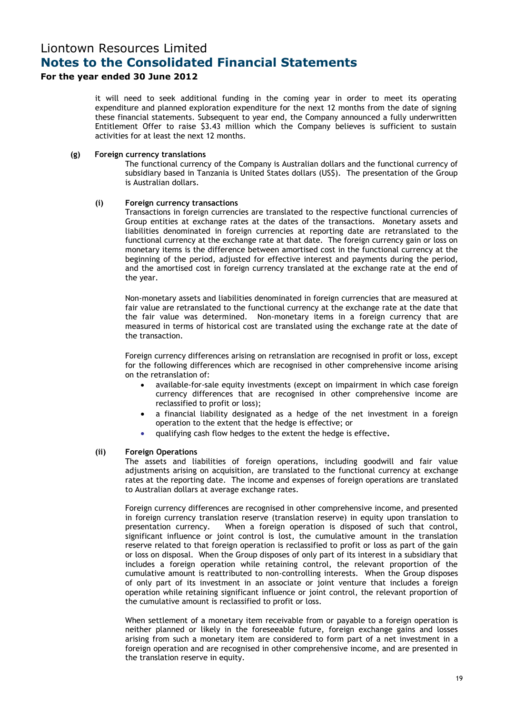### **For the year ended 30 June 2012**

it will need to seek additional funding in the coming year in order to meet its operating expenditure and planned exploration expenditure for the next 12 months from the date of signing these financial statements. Subsequent to year end, the Company announced a fully underwritten Entitlement Offer to raise \$3.43 million which the Company believes is sufficient to sustain activities for at least the next 12 months.

#### **(g) Foreign currency translations**

The functional currency of the Company is Australian dollars and the functional currency of subsidiary based in Tanzania is United States dollars (US\$). The presentation of the Group is Australian dollars.

#### **(i) Foreign currency transactions**

Transactions in foreign currencies are translated to the respective functional currencies of Group entities at exchange rates at the dates of the transactions. Monetary assets and liabilities denominated in foreign currencies at reporting date are retranslated to the functional currency at the exchange rate at that date. The foreign currency gain or loss on monetary items is the difference between amortised cost in the functional currency at the beginning of the period, adjusted for effective interest and payments during the period, and the amortised cost in foreign currency translated at the exchange rate at the end of the year.

Non-monetary assets and liabilities denominated in foreign currencies that are measured at fair value are retranslated to the functional currency at the exchange rate at the date that the fair value was determined. Non-monetary items in a foreign currency that are measured in terms of historical cost are translated using the exchange rate at the date of the transaction.

Foreign currency differences arising on retranslation are recognised in profit or loss, except for the following differences which are recognised in other comprehensive income arising on the retranslation of:

- available-for-sale equity investments (except on impairment in which case foreign currency differences that are recognised in other comprehensive income are reclassified to profit or loss);
- a financial liability designated as a hedge of the net investment in a foreign operation to the extent that the hedge is effective; or
- qualifying cash flow hedges to the extent the hedge is effective**.**

#### **(ii) Foreign Operations**

The assets and liabilities of foreign operations, including goodwill and fair value adjustments arising on acquisition, are translated to the functional currency at exchange rates at the reporting date. The income and expenses of foreign operations are translated to Australian dollars at average exchange rates.

Foreign currency differences are recognised in other comprehensive income, and presented in foreign currency translation reserve (translation reserve) in equity upon translation to presentation currency. When a foreign operation is disposed of such that control, significant influence or joint control is lost, the cumulative amount in the translation reserve related to that foreign operation is reclassified to profit or loss as part of the gain or loss on disposal. When the Group disposes of only part of its interest in a subsidiary that includes a foreign operation while retaining control, the relevant proportion of the cumulative amount is reattributed to non-controlling interests. When the Group disposes of only part of its investment in an associate or joint venture that includes a foreign operation while retaining significant influence or joint control, the relevant proportion of the cumulative amount is reclassified to profit or loss.

When settlement of a monetary item receivable from or payable to a foreign operation is neither planned or likely in the foreseeable future, foreign exchange gains and losses arising from such a monetary item are considered to form part of a net investment in a foreign operation and are recognised in other comprehensive income, and are presented in the translation reserve in equity.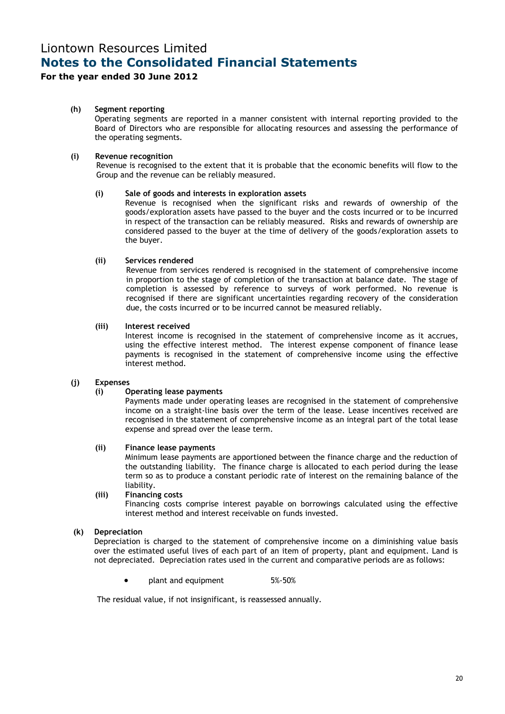# **For the year ended 30 June 2012**

#### **(h) Segment reporting**

Operating segments are reported in a manner consistent with internal reporting provided to the Board of Directors who are responsible for allocating resources and assessing the performance of the operating segments.

#### **(i) Revenue recognition**

Revenue is recognised to the extent that it is probable that the economic benefits will flow to the Group and the revenue can be reliably measured.

#### **(i) Sale of goods and interests in exploration assets**

Revenue is recognised when the significant risks and rewards of ownership of the goods/exploration assets have passed to the buyer and the costs incurred or to be incurred in respect of the transaction can be reliably measured. Risks and rewards of ownership are considered passed to the buyer at the time of delivery of the goods/exploration assets to the buyer.

#### **(ii) Services rendered**

Revenue from services rendered is recognised in the statement of comprehensive income in proportion to the stage of completion of the transaction at balance date. The stage of completion is assessed by reference to surveys of work performed. No revenue is recognised if there are significant uncertainties regarding recovery of the consideration due, the costs incurred or to be incurred cannot be measured reliably.

#### **(iii) Interest received**

Interest income is recognised in the statement of comprehensive income as it accrues, using the effective interest method. The interest expense component of finance lease payments is recognised in the statement of comprehensive income using the effective interest method.

#### **(j) Expenses**

#### **(i) Operating lease payments**

Payments made under operating leases are recognised in the statement of comprehensive income on a straight-line basis over the term of the lease. Lease incentives received are recognised in the statement of comprehensive income as an integral part of the total lease expense and spread over the lease term.

#### **(ii) Finance lease payments**

Minimum lease payments are apportioned between the finance charge and the reduction of the outstanding liability. The finance charge is allocated to each period during the lease term so as to produce a constant periodic rate of interest on the remaining balance of the liability.

#### **(iii) Financing costs**

Financing costs comprise interest payable on borrowings calculated using the effective interest method and interest receivable on funds invested.

#### **(k) Depreciation**

Depreciation is charged to the statement of comprehensive income on a diminishing value basis over the estimated useful lives of each part of an item of property, plant and equipment. Land is not depreciated. Depreciation rates used in the current and comparative periods are as follows:

plant and equipment 5%-50%

The residual value, if not insignificant, is reassessed annually.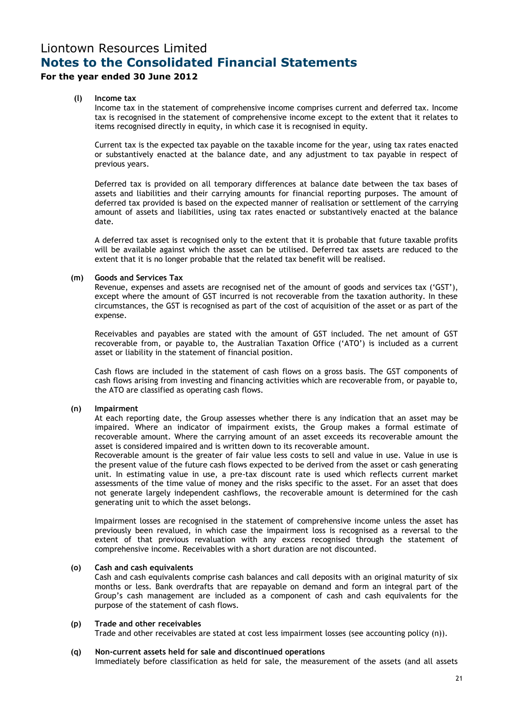### **For the year ended 30 June 2012**

#### **(l) Income tax**

Income tax in the statement of comprehensive income comprises current and deferred tax. Income tax is recognised in the statement of comprehensive income except to the extent that it relates to items recognised directly in equity, in which case it is recognised in equity.

Current tax is the expected tax payable on the taxable income for the year, using tax rates enacted or substantively enacted at the balance date, and any adjustment to tax payable in respect of previous years.

Deferred tax is provided on all temporary differences at balance date between the tax bases of assets and liabilities and their carrying amounts for financial reporting purposes. The amount of deferred tax provided is based on the expected manner of realisation or settlement of the carrying amount of assets and liabilities, using tax rates enacted or substantively enacted at the balance date.

A deferred tax asset is recognised only to the extent that it is probable that future taxable profits will be available against which the asset can be utilised. Deferred tax assets are reduced to the extent that it is no longer probable that the related tax benefit will be realised.

#### **(m) Goods and Services Tax**

Revenue, expenses and assets are recognised net of the amount of goods and services tax ('GST'), except where the amount of GST incurred is not recoverable from the taxation authority. In these circumstances, the GST is recognised as part of the cost of acquisition of the asset or as part of the expense.

Receivables and payables are stated with the amount of GST included. The net amount of GST recoverable from, or payable to, the Australian Taxation Office ('ATO') is included as a current asset or liability in the statement of financial position.

Cash flows are included in the statement of cash flows on a gross basis. The GST components of cash flows arising from investing and financing activities which are recoverable from, or payable to, the ATO are classified as operating cash flows.

#### **(n) Impairment**

At each reporting date, the Group assesses whether there is any indication that an asset may be impaired. Where an indicator of impairment exists, the Group makes a formal estimate of recoverable amount. Where the carrying amount of an asset exceeds its recoverable amount the asset is considered impaired and is written down to its recoverable amount.

Recoverable amount is the greater of fair value less costs to sell and value in use. Value in use is the present value of the future cash flows expected to be derived from the asset or cash generating unit. In estimating value in use, a pre-tax discount rate is used which reflects current market assessments of the time value of money and the risks specific to the asset. For an asset that does not generate largely independent cashflows, the recoverable amount is determined for the cash generating unit to which the asset belongs.

Impairment losses are recognised in the statement of comprehensive income unless the asset has previously been revalued, in which case the impairment loss is recognised as a reversal to the extent of that previous revaluation with any excess recognised through the statement of comprehensive income. Receivables with a short duration are not discounted.

#### **(o) Cash and cash equivalents**

Cash and cash equivalents comprise cash balances and call deposits with an original maturity of six months or less. Bank overdrafts that are repayable on demand and form an integral part of the Group's cash management are included as a component of cash and cash equivalents for the purpose of the statement of cash flows.

### **(p) Trade and other receivables**

Trade and other receivables are stated at cost less impairment losses (see accounting policy (n)).

#### **(q) Non-current assets held for sale and discontinued operations**

Immediately before classification as held for sale, the measurement of the assets (and all assets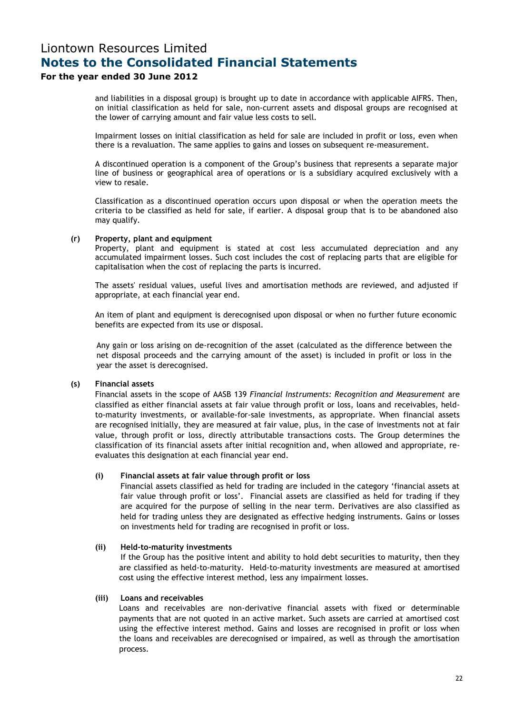# **For the year ended 30 June 2012**

and liabilities in a disposal group) is brought up to date in accordance with applicable AIFRS. Then, on initial classification as held for sale, non-current assets and disposal groups are recognised at the lower of carrying amount and fair value less costs to sell.

Impairment losses on initial classification as held for sale are included in profit or loss, even when there is a revaluation. The same applies to gains and losses on subsequent re-measurement.

A discontinued operation is a component of the Group's business that represents a separate major line of business or geographical area of operations or is a subsidiary acquired exclusively with a view to resale.

Classification as a discontinued operation occurs upon disposal or when the operation meets the criteria to be classified as held for sale, if earlier. A disposal group that is to be abandoned also may qualify.

#### **(r) Property, plant and equipment**

Property, plant and equipment is stated at cost less accumulated depreciation and any accumulated impairment losses. Such cost includes the cost of replacing parts that are eligible for capitalisation when the cost of replacing the parts is incurred.

The assets' residual values, useful lives and amortisation methods are reviewed, and adjusted if appropriate, at each financial year end.

An item of plant and equipment is derecognised upon disposal or when no further future economic benefits are expected from its use or disposal.

Any gain or loss arising on de-recognition of the asset (calculated as the difference between the net disposal proceeds and the carrying amount of the asset) is included in profit or loss in the year the asset is derecognised.

### **(s) Financial assets**

Financial assets in the scope of AASB 139 *Financial Instruments: Recognition and Measurement* are classified as either financial assets at fair value through profit or loss, loans and receivables, heldto-maturity investments, or available-for-sale investments, as appropriate. When financial assets are recognised initially, they are measured at fair value, plus, in the case of investments not at fair value, through profit or loss, directly attributable transactions costs. The Group determines the classification of its financial assets after initial recognition and, when allowed and appropriate, reevaluates this designation at each financial year end.

#### **(i) Financial assets at fair value through profit or loss**

Financial assets classified as held for trading are included in the category 'financial assets at fair value through profit or loss'. Financial assets are classified as held for trading if they are acquired for the purpose of selling in the near term. Derivatives are also classified as held for trading unless they are designated as effective hedging instruments. Gains or losses on investments held for trading are recognised in profit or loss.

#### **(ii) Held-to-maturity investments**

If the Group has the positive intent and ability to hold debt securities to maturity, then they are classified as held-to-maturity. Held-to-maturity investments are measured at amortised cost using the effective interest method, less any impairment losses.

#### **(iii) Loans and receivables**

Loans and receivables are non-derivative financial assets with fixed or determinable payments that are not quoted in an active market. Such assets are carried at amortised cost using the effective interest method. Gains and losses are recognised in profit or loss when the loans and receivables are derecognised or impaired, as well as through the amortisation process.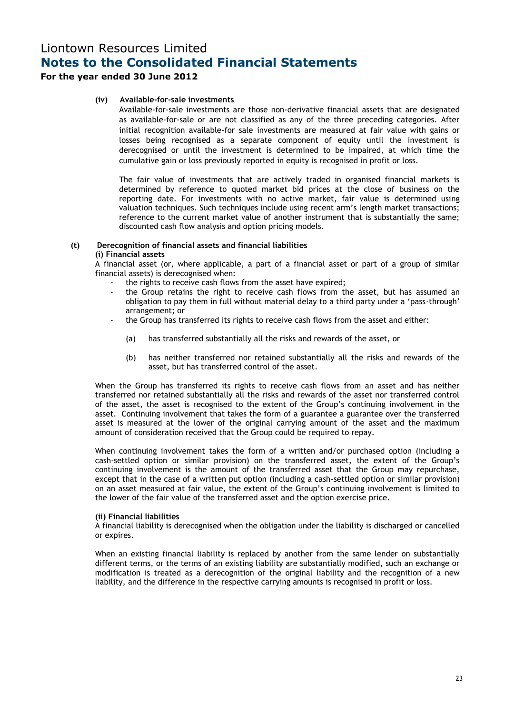# **For the year ended 30 June 2012**

### **(iv) Available-for-sale investments**

Available-for-sale investments are those non-derivative financial assets that are designated as available-for-sale or are not classified as any of the three preceding categories. After initial recognition available-for sale investments are measured at fair value with gains or losses being recognised as a separate component of equity until the investment is derecognised or until the investment is determined to be impaired, at which time the cumulative gain or loss previously reported in equity is recognised in profit or loss.

The fair value of investments that are actively traded in organised financial markets is determined by reference to quoted market bid prices at the close of business on the reporting date. For investments with no active market, fair value is determined using valuation techniques. Such techniques include using recent arm's length market transactions; reference to the current market value of another instrument that is substantially the same; discounted cash flow analysis and option pricing models.

# **(t) Derecognition of financial assets and financial liabilities**

### **(i) Financial assets**

A financial asset (or, where applicable, a part of a financial asset or part of a group of similar financial assets) is derecognised when:

- the rights to receive cash flows from the asset have expired;
- the Group retains the right to receive cash flows from the asset, but has assumed an obligation to pay them in full without material delay to a third party under a 'pass-through' arrangement; or
- the Group has transferred its rights to receive cash flows from the asset and either:
	- (a) has transferred substantially all the risks and rewards of the asset, or
	- (b) has neither transferred nor retained substantially all the risks and rewards of the asset, but has transferred control of the asset.

When the Group has transferred its rights to receive cash flows from an asset and has neither transferred nor retained substantially all the risks and rewards of the asset nor transferred control of the asset, the asset is recognised to the extent of the Group's continuing involvement in the asset. Continuing involvement that takes the form of a guarantee a guarantee over the transferred asset is measured at the lower of the original carrying amount of the asset and the maximum amount of consideration received that the Group could be required to repay.

When continuing involvement takes the form of a written and/or purchased option (including a cash-settled option or similar provision) on the transferred asset, the extent of the Group's continuing involvement is the amount of the transferred asset that the Group may repurchase, except that in the case of a written put option (including a cash-settled option or similar provision) on an asset measured at fair value, the extent of the Group's continuing involvement is limited to the lower of the fair value of the transferred asset and the option exercise price.

#### **(ii) Financial liabilities**

A financial liability is derecognised when the obligation under the liability is discharged or cancelled or expires.

When an existing financial liability is replaced by another from the same lender on substantially different terms, or the terms of an existing liability are substantially modified, such an exchange or modification is treated as a derecognition of the original liability and the recognition of a new liability, and the difference in the respective carrying amounts is recognised in profit or loss.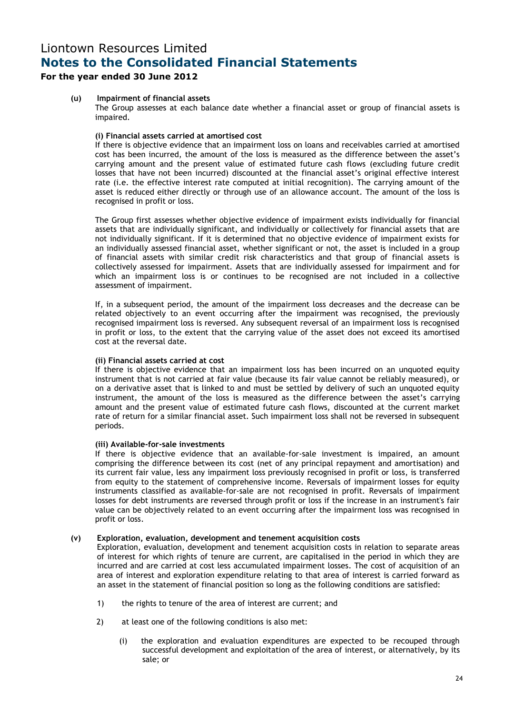# **For the year ended 30 June 2012**

#### **(u) Impairment of financial assets**

The Group assesses at each balance date whether a financial asset or group of financial assets is impaired.

#### **(i) Financial assets carried at amortised cost**

If there is objective evidence that an impairment loss on loans and receivables carried at amortised cost has been incurred, the amount of the loss is measured as the difference between the asset's carrying amount and the present value of estimated future cash flows (excluding future credit losses that have not been incurred) discounted at the financial asset's original effective interest rate (i.e. the effective interest rate computed at initial recognition). The carrying amount of the asset is reduced either directly or through use of an allowance account. The amount of the loss is recognised in profit or loss.

The Group first assesses whether objective evidence of impairment exists individually for financial assets that are individually significant, and individually or collectively for financial assets that are not individually significant. If it is determined that no objective evidence of impairment exists for an individually assessed financial asset, whether significant or not, the asset is included in a group of financial assets with similar credit risk characteristics and that group of financial assets is collectively assessed for impairment. Assets that are individually assessed for impairment and for which an impairment loss is or continues to be recognised are not included in a collective assessment of impairment.

If, in a subsequent period, the amount of the impairment loss decreases and the decrease can be related objectively to an event occurring after the impairment was recognised, the previously recognised impairment loss is reversed. Any subsequent reversal of an impairment loss is recognised in profit or loss, to the extent that the carrying value of the asset does not exceed its amortised cost at the reversal date.

#### **(ii) Financial assets carried at cost**

If there is objective evidence that an impairment loss has been incurred on an unquoted equity instrument that is not carried at fair value (because its fair value cannot be reliably measured), or on a derivative asset that is linked to and must be settled by delivery of such an unquoted equity instrument, the amount of the loss is measured as the difference between the asset's carrying amount and the present value of estimated future cash flows, discounted at the current market rate of return for a similar financial asset. Such impairment loss shall not be reversed in subsequent periods.

#### **(iii) Available-for-sale investments**

If there is objective evidence that an available-for-sale investment is impaired, an amount comprising the difference between its cost (net of any principal repayment and amortisation) and its current fair value, less any impairment loss previously recognised in profit or loss, is transferred from equity to the statement of comprehensive income. Reversals of impairment losses for equity instruments classified as available-for-sale are not recognised in profit. Reversals of impairment losses for debt instruments are reversed through profit or loss if the increase in an instrument's fair value can be objectively related to an event occurring after the impairment loss was recognised in profit or loss.

#### **(v) Exploration, evaluation, development and tenement acquisition costs**

Exploration, evaluation, development and tenement acquisition costs in relation to separate areas of interest for which rights of tenure are current, are capitalised in the period in which they are incurred and are carried at cost less accumulated impairment losses. The cost of acquisition of an area of interest and exploration expenditure relating to that area of interest is carried forward as an asset in the statement of financial position so long as the following conditions are satisfied:

- 1) the rights to tenure of the area of interest are current; and
- 2) at least one of the following conditions is also met:
	- (i) the exploration and evaluation expenditures are expected to be recouped through successful development and exploitation of the area of interest, or alternatively, by its sale; or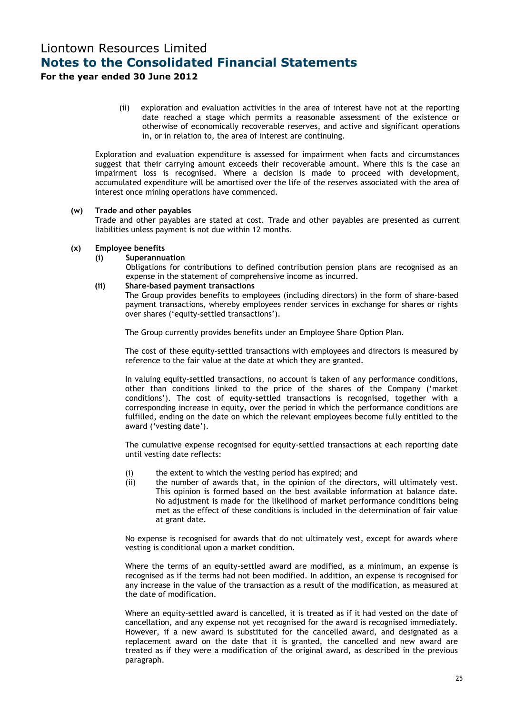**For the year ended 30 June 2012**

(ii) exploration and evaluation activities in the area of interest have not at the reporting date reached a stage which permits a reasonable assessment of the existence or otherwise of economically recoverable reserves, and active and significant operations in, or in relation to, the area of interest are continuing.

Exploration and evaluation expenditure is assessed for impairment when facts and circumstances suggest that their carrying amount exceeds their recoverable amount. Where this is the case an impairment loss is recognised. Where a decision is made to proceed with development, accumulated expenditure will be amortised over the life of the reserves associated with the area of interest once mining operations have commenced.

#### **(w) Trade and other payables**

Trade and other payables are stated at cost. Trade and other payables are presented as current liabilities unless payment is not due within 12 months.

#### **(x) Employee benefits**

**(i) Superannuation**

Obligations for contributions to defined contribution pension plans are recognised as an expense in the statement of comprehensive income as incurred.

### **(ii) Share-based payment transactions**

The Group provides benefits to employees (including directors) in the form of share-based payment transactions, whereby employees render services in exchange for shares or rights over shares ('equity-settled transactions').

The Group currently provides benefits under an Employee Share Option Plan.

The cost of these equity-settled transactions with employees and directors is measured by reference to the fair value at the date at which they are granted.

In valuing equity-settled transactions, no account is taken of any performance conditions, other than conditions linked to the price of the shares of the Company ('market conditions'). The cost of equity-settled transactions is recognised, together with a corresponding increase in equity, over the period in which the performance conditions are fulfilled, ending on the date on which the relevant employees become fully entitled to the award ('vesting date').

The cumulative expense recognised for equity-settled transactions at each reporting date until vesting date reflects:

- (i) the extent to which the vesting period has expired; and
- (ii) the number of awards that, in the opinion of the directors, will ultimately vest. This opinion is formed based on the best available information at balance date. No adjustment is made for the likelihood of market performance conditions being met as the effect of these conditions is included in the determination of fair value at grant date.

No expense is recognised for awards that do not ultimately vest, except for awards where vesting is conditional upon a market condition.

Where the terms of an equity-settled award are modified, as a minimum, an expense is recognised as if the terms had not been modified. In addition, an expense is recognised for any increase in the value of the transaction as a result of the modification, as measured at the date of modification.

Where an equity-settled award is cancelled, it is treated as if it had vested on the date of cancellation, and any expense not yet recognised for the award is recognised immediately. However, if a new award is substituted for the cancelled award, and designated as a replacement award on the date that it is granted, the cancelled and new award are treated as if they were a modification of the original award, as described in the previous paragraph.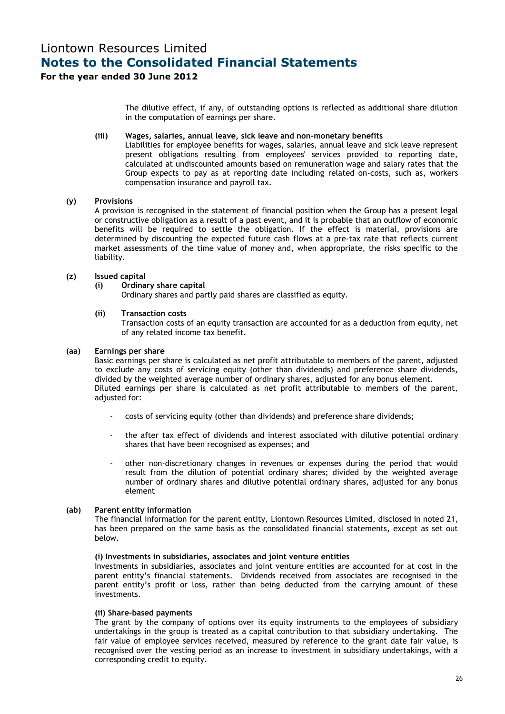# **For the year ended 30 June 2012**

The dilutive effect, if any, of outstanding options is reflected as additional share dilution in the computation of earnings per share.

#### **(iii) Wages, salaries, annual leave, sick leave and non-monetary benefits**

Liabilities for employee benefits for wages, salaries, annual leave and sick leave represent present obligations resulting from employees' services provided to reporting date, calculated at undiscounted amounts based on remuneration wage and salary rates that the Group expects to pay as at reporting date including related on-costs, such as, workers compensation insurance and payroll tax.

#### **(y) Provisions**

A provision is recognised in the statement of financial position when the Group has a present legal or constructive obligation as a result of a past event, and it is probable that an outflow of economic benefits will be required to settle the obligation. If the effect is material, provisions are determined by discounting the expected future cash flows at a pre-tax rate that reflects current market assessments of the time value of money and, when appropriate, the risks specific to the liability.

#### **(z) Issued capital**

#### **(i) Ordinary share capital**

Ordinary shares and partly paid shares are classified as equity.

#### **(ii) Transaction costs**

Transaction costs of an equity transaction are accounted for as a deduction from equity, net of any related income tax benefit.

#### **(aa) Earnings per share**

Basic earnings per share is calculated as net profit attributable to members of the parent, adjusted to exclude any costs of servicing equity (other than dividends) and preference share dividends, divided by the weighted average number of ordinary shares, adjusted for any bonus element. Diluted earnings per share is calculated as net profit attributable to members of the parent, adjusted for:

- costs of servicing equity (other than dividends) and preference share dividends;
- the after tax effect of dividends and interest associated with dilutive potential ordinary shares that have been recognised as expenses; and
- other non-discretionary changes in revenues or expenses during the period that would result from the dilution of potential ordinary shares; divided by the weighted average number of ordinary shares and dilutive potential ordinary shares, adjusted for any bonus element

#### **(ab) Parent entity information**

The financial information for the parent entity, Liontown Resources Limited, disclosed in noted 21, has been prepared on the same basis as the consolidated financial statements, except as set out below.

#### **(i) Investments in subsidiaries, associates and joint venture entities**

Investments in subsidiaries, associates and joint venture entities are accounted for at cost in the parent entity's financial statements. Dividends received from associates are recognised in the parent entity's profit or loss, rather than being deducted from the carrying amount of these investments.

#### **(ii) Share-based payments**

The grant by the company of options over its equity instruments to the employees of subsidiary undertakings in the group is treated as a capital contribution to that subsidiary undertaking. The fair value of employee services received, measured by reference to the grant date fair value, is recognised over the vesting period as an increase to investment in subsidiary undertakings, with a corresponding credit to equity.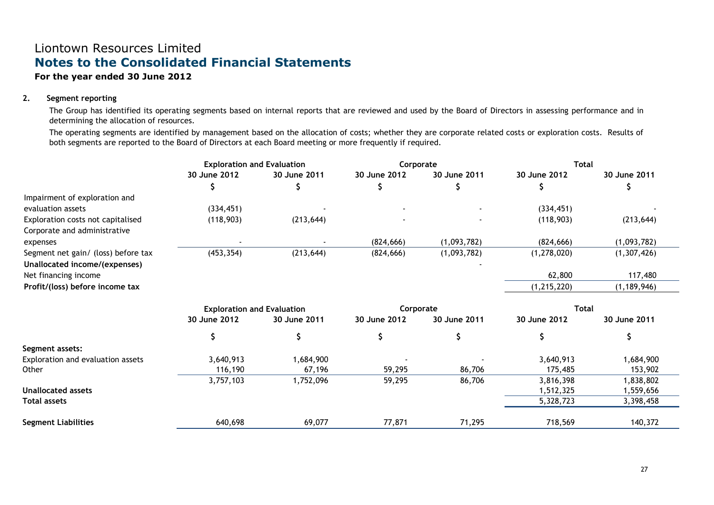**For the year ended 30 June 2012**

### **2. Segment reporting**

The Group has identified its operating segments based on internal reports that are reviewed and used by the Board of Directors in assessing performance and in determining the allocation of resources.

The operating segments are identified by management based on the allocation of costs; whether they are corporate related costs or exploration costs. Results of both segments are reported to the Board of Directors at each Board meeting or more frequently if required.

|                                     | <b>Exploration and Evaluation</b> |              | Corporate    |              | <b>Total</b>  |               |
|-------------------------------------|-----------------------------------|--------------|--------------|--------------|---------------|---------------|
|                                     | 30 June 2012                      | 30 June 2011 | 30 June 2012 | 30 June 2011 | 30 June 2012  | 30 June 2011  |
|                                     |                                   |              |              |              |               |               |
| Impairment of exploration and       |                                   |              |              |              |               |               |
| evaluation assets                   | (334, 451)                        |              |              |              | (334, 451)    |               |
| Exploration costs not capitalised   | (118,903)                         | (213, 644)   |              |              | (118,903)     | (213, 644)    |
| Corporate and administrative        |                                   |              |              |              |               |               |
| expenses                            |                                   |              | (824, 666)   | (1,093,782)  | (824, 666)    | (1,093,782)   |
| Segment net gain/ (loss) before tax | (453, 354)                        | (213, 644)   | (824, 666)   | (1,093,782)  | (1, 278, 020) | (1, 307, 426) |
| Unallocated income/(expenses)       |                                   |              |              |              |               |               |
| Net financing income                |                                   |              |              |              | 62,800        | 117,480       |
| Profit/(loss) before income tax     |                                   |              |              |              | (1, 215, 220) | (1, 189, 946) |
|                                     | <b>Exploration and Evaluation</b> |              | Corporate    |              | <b>Total</b>  |               |
|                                     | 30 June 2012                      | 30 June 2011 | 30 June 2012 | 30 June 2011 | 30 June 2012  | 30 June 2011  |
|                                     |                                   |              |              |              |               |               |
| Segment assets:                     |                                   |              |              |              |               |               |
| Exploration and evaluation assets   | 3,640,913                         | 1,684,900    |              |              | 3,640,913     | 1,684,900     |
| Other                               | 116,190                           | 67,196       | 59,295       | 86,706       | 175,485       | 153,902       |
|                                     | 3,757,103                         | 1,752,096    | 59,295       | 86,706       | 3,816,398     | 1,838,802     |
| <b>Unallocated assets</b>           |                                   |              |              |              | 1,512,325     | 1,559,656     |
| <b>Total assets</b>                 |                                   |              |              |              | 5,328,723     | 3,398,458     |
| <b>Segment Liabilities</b>          | 640,698                           | 69,077       | 77,871       | 71,295       | 718,569       | 140,372       |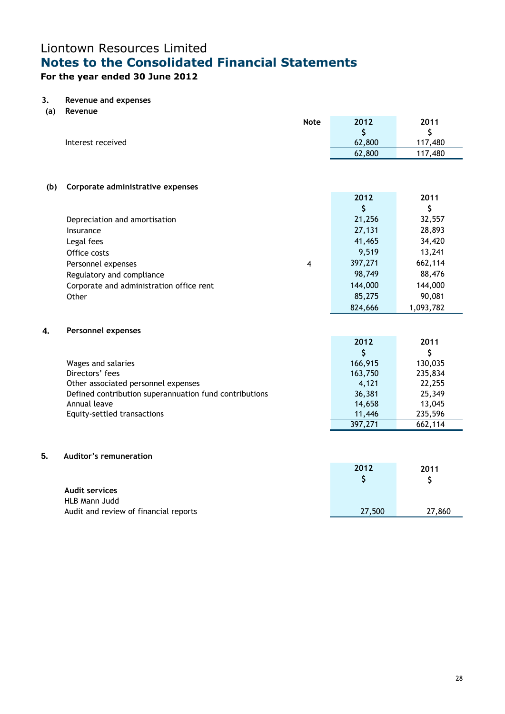# **3. Revenue and expenses**

**(a) Revenue**

|     |                                                        | <b>Note</b>             | 2012               | 2011      |
|-----|--------------------------------------------------------|-------------------------|--------------------|-----------|
|     |                                                        |                         | \$                 | \$        |
|     | Interest received                                      |                         | 62,800             | 117,480   |
|     |                                                        |                         | 62,800             | 117,480   |
|     |                                                        |                         |                    |           |
|     |                                                        |                         |                    |           |
| (b) | Corporate administrative expenses                      |                         |                    |           |
|     |                                                        |                         | 2012               | 2011      |
|     |                                                        |                         | $\mathsf{\hat{S}}$ | \$        |
|     | Depreciation and amortisation                          |                         | 21,256             | 32,557    |
|     | Insurance                                              |                         | 27,131             | 28,893    |
|     | Legal fees                                             |                         | 41,465             | 34,420    |
|     | Office costs                                           |                         | 9,519              | 13,241    |
|     | Personnel expenses                                     | $\overline{\mathbf{4}}$ | 397,271            | 662,114   |
|     | Regulatory and compliance                              |                         | 98,749             | 88,476    |
|     | Corporate and administration office rent               |                         | 144,000            | 144,000   |
|     | Other                                                  |                         | 85,275             | 90,081    |
|     |                                                        |                         | 824,666            | 1,093,782 |
|     |                                                        |                         |                    |           |
| 4.  | Personnel expenses                                     |                         |                    |           |
|     |                                                        |                         | 2012               | 2011      |
|     |                                                        |                         | \$                 | \$        |
|     | Wages and salaries                                     |                         | 166,915            | 130,035   |
|     | Directors' fees                                        |                         | 163,750            | 235,834   |
|     | Other associated personnel expenses                    |                         | 4,121              | 22,255    |
|     | Defined contribution superannuation fund contributions |                         | 36,381             | 25,349    |
|     | Annual leave                                           |                         | 14,658             | 13,045    |
|     | Equity-settled transactions                            |                         | 11,446             | 235,596   |
|     |                                                        |                         | 397,271            | 662,114   |
|     |                                                        |                         |                    |           |
| 5.  | Auditor's remuneration                                 |                         |                    |           |
|     |                                                        |                         | 2012               |           |
|     |                                                        |                         | \$                 | 2011      |
|     |                                                        |                         |                    | \$        |
|     | <b>Audit services</b>                                  |                         |                    |           |
|     | <b>HLB Mann Judd</b>                                   |                         |                    |           |
|     | Audit and review of financial reports                  |                         | 27,500             | 27,860    |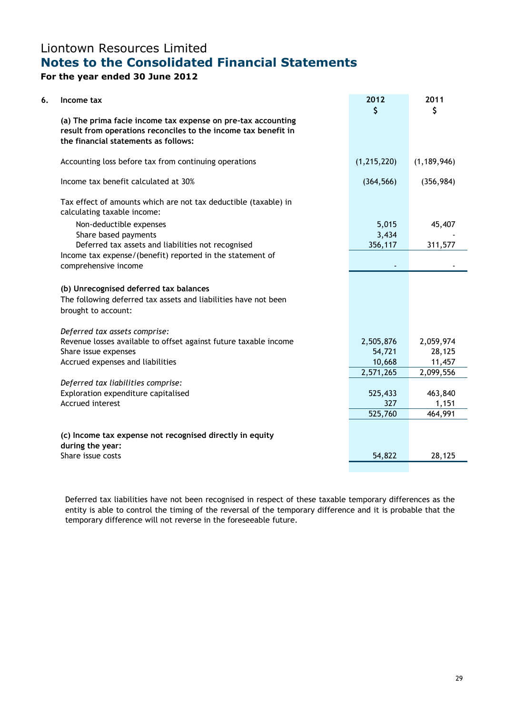# **For the year ended 30 June 2012**

| 6. | Income tax                                                                               | 2012                | 2011                |
|----|------------------------------------------------------------------------------------------|---------------------|---------------------|
|    |                                                                                          | \$                  | \$                  |
|    | (a) The prima facie income tax expense on pre-tax accounting                             |                     |                     |
|    | result from operations reconciles to the income tax benefit in                           |                     |                     |
|    | the financial statements as follows:                                                     |                     |                     |
|    | Accounting loss before tax from continuing operations                                    | (1, 215, 220)       | (1, 189, 946)       |
|    | Income tax benefit calculated at 30%                                                     | (364, 566)          | (356, 984)          |
|    | Tax effect of amounts which are not tax deductible (taxable) in                          |                     |                     |
|    | calculating taxable income:                                                              |                     |                     |
|    | Non-deductible expenses                                                                  | 5,015               | 45,407              |
|    | Share based payments                                                                     | 3,434               |                     |
|    | Deferred tax assets and liabilities not recognised                                       | 356,117             | 311,577             |
|    | Income tax expense/(benefit) reported in the statement of                                |                     |                     |
|    | comprehensive income                                                                     |                     |                     |
|    | (b) Unrecognised deferred tax balances                                                   |                     |                     |
|    | The following deferred tax assets and liabilities have not been                          |                     |                     |
|    | brought to account:                                                                      |                     |                     |
|    |                                                                                          |                     |                     |
|    | Deferred tax assets comprise:                                                            |                     |                     |
|    | Revenue losses available to offset against future taxable income<br>Share issue expenses | 2,505,876<br>54,721 | 2,059,974<br>28,125 |
|    | Accrued expenses and liabilities                                                         | 10,668              | 11,457              |
|    |                                                                                          | 2,571,265           | 2,099,556           |
|    | Deferred tax liabilities comprise:                                                       |                     |                     |
|    | Exploration expenditure capitalised                                                      | 525,433             | 463,840             |
|    | <b>Accrued interest</b>                                                                  | 327                 | 1,151               |
|    |                                                                                          | 525,760             | 464,991             |
|    |                                                                                          |                     |                     |
|    | (c) Income tax expense not recognised directly in equity                                 |                     |                     |
|    | during the year:                                                                         |                     |                     |
|    | Share issue costs                                                                        | 54,822              | 28,125              |
|    |                                                                                          |                     |                     |

Deferred tax liabilities have not been recognised in respect of these taxable temporary differences as the entity is able to control the timing of the reversal of the temporary difference and it is probable that the temporary difference will not reverse in the foreseeable future.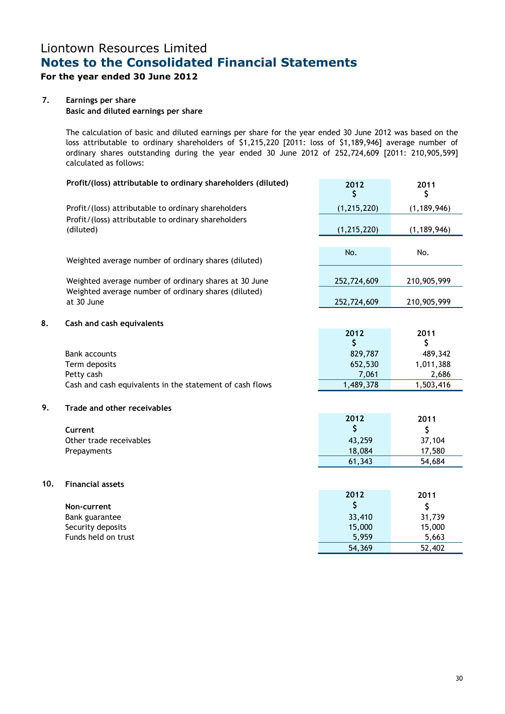# **7. Earnings per share**

**Basic and diluted earnings per share**

The calculation of basic and diluted earnings per share for the year ended 30 June 2012 was based on the loss attributable to ordinary shareholders of \$1,215,220 [2011: loss of \$1,189,946] average number of ordinary shares outstanding during the year ended 30 June 2012 of 252,724,609 [2011: 210,905,599] calculated as follows:

|     | Profit/(loss) attributable to ordinary shareholders (diluted)      | 2012<br>Ŝ.    | 2011<br>\$    |
|-----|--------------------------------------------------------------------|---------------|---------------|
|     | Profit/(loss) attributable to ordinary shareholders                | (1, 215, 220) | (1, 189, 946) |
|     | Profit/(loss) attributable to ordinary shareholders<br>(diluted)   | (1, 215, 220) | (1, 189, 946) |
|     | Weighted average number of ordinary shares (diluted)               | No.           | No.           |
|     | Weighted average number of ordinary shares at 30 June              | 252,724,609   | 210,905,999   |
|     | Weighted average number of ordinary shares (diluted)<br>at 30 June | 252,724,609   | 210,905,999   |
| 8.  | Cash and cash equivalents                                          |               |               |
|     |                                                                    | 2012<br>\$    | 2011<br>\$    |
|     | <b>Bank accounts</b>                                               | 829,787       | 489,342       |
|     | Term deposits                                                      | 652,530       | 1,011,388     |
|     | Petty cash                                                         | 7,061         | 2,686         |
|     | Cash and cash equivalents in the statement of cash flows           | 1,489,378     | 1,503,416     |
| 9.  | Trade and other receivables                                        |               |               |
|     |                                                                    | 2012          | 2011          |
|     | Current                                                            | \$            | \$            |
|     | Other trade receivables                                            | 43,259        | 37,104        |
|     | Prepayments                                                        | 18,084        | 17,580        |
|     |                                                                    | 61,343        | 54,684        |
| 10. | <b>Financial assets</b>                                            |               |               |
|     |                                                                    | 2012          | 2011          |
|     | Non-current                                                        | \$            | \$            |
|     | Bank guarantee                                                     | 33,410        | 31,739        |
|     | Security deposits                                                  | 15,000        | 15,000        |
|     | Funds held on trust                                                | 5,959         | 5,663         |
|     |                                                                    | 54,369        | 52,402        |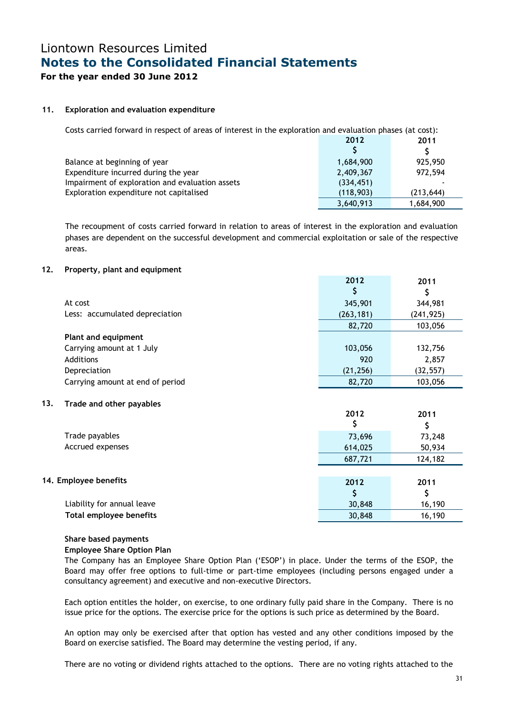#### **11. Exploration and evaluation expenditure**

Costs carried forward in respect of areas of interest in the exploration and evaluation phases (at cost):

|                                                 | 2012       | 2011       |
|-------------------------------------------------|------------|------------|
|                                                 |            |            |
| Balance at beginning of year                    | 1,684,900  | 925,950    |
| Expenditure incurred during the year            | 2,409,367  | 972.594    |
| Impairment of exploration and evaluation assets | (334, 451) |            |
| Exploration expenditure not capitalised         | (118,903)  | (213, 644) |
|                                                 | 3,640,913  | 1,684,900  |

The recoupment of costs carried forward in relation to areas of interest in the exploration and evaluation phases are dependent on the successful development and commercial exploitation or sale of the respective areas.

**2012**

#### **12. Property, plant and equipment**

|                                  | 2012       | 2011       |
|----------------------------------|------------|------------|
|                                  | Ş          | S          |
| At cost                          | 345,901    | 344,981    |
| Less: accumulated depreciation   | (263, 181) | (241, 925) |
|                                  | 82,720     | 103,056    |
| Plant and equipment              |            |            |
| Carrying amount at 1 July        | 103,056    | 132,756    |
| <b>Additions</b>                 | 920        | 2,857      |
| Depreciation                     | (21, 256)  | (32, 557)  |
| Carrying amount at end of period | 82,720     | 103,056    |
|                                  |            |            |

#### **13. Trade and other payables**

|                            | 2012    | 2011    |
|----------------------------|---------|---------|
| Trade payables             | 73,696  | 73,248  |
| Accrued expenses           | 614,025 | 50,934  |
|                            | 687,721 | 124,182 |
|                            |         |         |
| 14. Employee benefits      | 2012    | 2011    |
|                            | S       | \$      |
| Liability for annual leave | 30,848  | 16,190  |
| Total employee benefits    | 30,848  | 16,190  |

#### **Share based payments**

#### **Employee Share Option Plan**

The Company has an Employee Share Option Plan ('ESOP') in place. Under the terms of the ESOP, the Board may offer free options to full-time or part-time employees (including persons engaged under a consultancy agreement) and executive and non-executive Directors.

Each option entitles the holder, on exercise, to one ordinary fully paid share in the Company. There is no issue price for the options. The exercise price for the options is such price as determined by the Board.

An option may only be exercised after that option has vested and any other conditions imposed by the Board on exercise satisfied. The Board may determine the vesting period, if any.

There are no voting or dividend rights attached to the options. There are no voting rights attached to the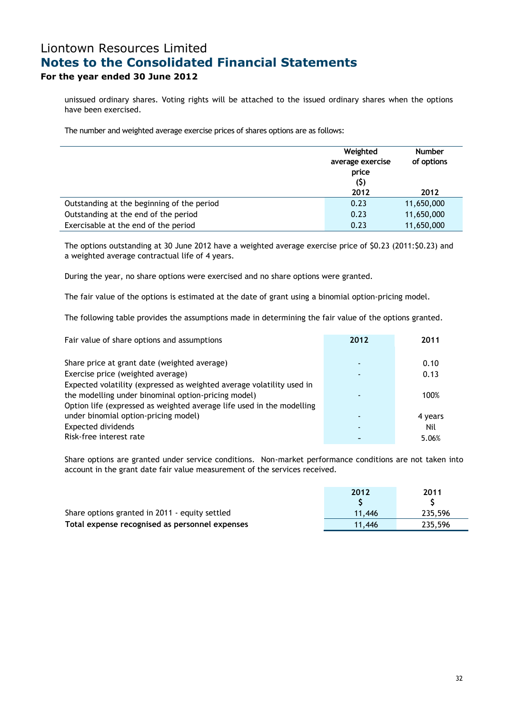unissued ordinary shares. Voting rights will be attached to the issued ordinary shares when the options have been exercised.

The number and weighted average exercise prices of shares options are as follows:

|                                            | Weighted<br>average exercise<br>price<br>(5) | <b>Number</b><br>of options |
|--------------------------------------------|----------------------------------------------|-----------------------------|
|                                            | 2012                                         | 2012                        |
| Outstanding at the beginning of the period | 0.23                                         | 11,650,000                  |
| Outstanding at the end of the period       | 0.23                                         | 11,650,000                  |
| Exercisable at the end of the period       | 0.23                                         | 11,650,000                  |

The options outstanding at 30 June 2012 have a weighted average exercise price of \$0.23 (2011:\$0.23) and a weighted average contractual life of 4 years.

During the year, no share options were exercised and no share options were granted.

The fair value of the options is estimated at the date of grant using a binomial option-pricing model.

The following table provides the assumptions made in determining the fair value of the options granted.

| Fair value of share options and assumptions                           | 2012 | 2011    |
|-----------------------------------------------------------------------|------|---------|
|                                                                       |      |         |
| Share price at grant date (weighted average)                          |      | 0.10    |
| Exercise price (weighted average)                                     |      | 0.13    |
| Expected volatility (expressed as weighted average volatility used in |      |         |
| the modelling under binominal option-pricing model)                   |      | 100%    |
| Option life (expressed as weighted average life used in the modelling |      |         |
| under binomial option-pricing model)                                  |      | 4 years |
| <b>Expected dividends</b>                                             |      | Nil     |
| Risk-free interest rate                                               |      | 5.06%   |

Share options are granted under service conditions. Non-market performance conditions are not taken into account in the grant date fair value measurement of the services received.

|                                                | 2012   | 2011    |
|------------------------------------------------|--------|---------|
|                                                |        |         |
| Share options granted in 2011 - equity settled | 11.446 | 235,596 |
| Total expense recognised as personnel expenses | 11.446 | 235,596 |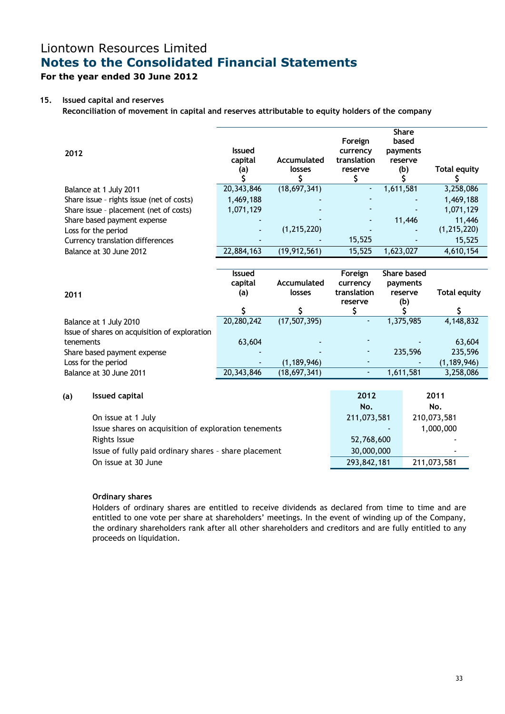# **For the year ended 30 June 2012**

### **15. Issued capital and reserves**

**Reconciliation of movement in capital and reserves attributable to equity holders of the company**

| 2012                                      | <b>Issued</b><br>capital<br>(a) | Accumulated<br>losses | Foreign<br>currency<br>translation<br>reserve | <b>Share</b><br>based<br>payments<br>reserve<br>(b) | Total equity  |
|-------------------------------------------|---------------------------------|-----------------------|-----------------------------------------------|-----------------------------------------------------|---------------|
| Balance at 1 July 2011                    | 20,343,846                      | (18,697,341)          |                                               | 1,611,581                                           | 3,258,086     |
| Share issue - rights issue (net of costs) | 1,469,188                       |                       |                                               | ٠                                                   | 1,469,188     |
| Share issue - placement (net of costs)    | 1,071,129                       |                       |                                               | -                                                   | 1,071,129     |
| Share based payment expense               |                                 |                       |                                               | 11,446                                              | 11,446        |
| Loss for the period                       |                                 | (1, 215, 220)         |                                               | ٠                                                   | (1, 215, 220) |
| Currency translation differences          |                                 |                       | 15,525                                        |                                                     | 15,525        |
| Balance at 30 June 2012                   | 22,884,163                      | (19, 912, 561)        | 15,525                                        | 1,623,027                                           | 4,610,154     |
|                                           |                                 |                       |                                               |                                                     |               |

| 2011                                          | <b>Issued</b><br>capital<br>(a) | Accumulated<br>losses | Foreign<br>currency<br>translation<br>reserve | <b>Share based</b><br>payments<br>reserve<br>(b) | Total equity  |
|-----------------------------------------------|---------------------------------|-----------------------|-----------------------------------------------|--------------------------------------------------|---------------|
| Balance at 1 July 2010                        | 20,280,242                      | (17, 507, 395)        |                                               | 1,375,985                                        | 4,148,832     |
| Issue of shares on acquisition of exploration |                                 |                       |                                               |                                                  |               |
| tenements                                     | 63,604                          |                       |                                               |                                                  | 63,604        |
| Share based payment expense                   | $\overline{\phantom{0}}$        |                       |                                               | 235,596                                          | 235,596       |
| Loss for the period                           | $\blacksquare$                  | (1, 189, 946)         |                                               |                                                  | (1, 189, 946) |
| Balance at 30 June 2011                       | 20,343,846                      | (18,697,341)          |                                               | 1,611,581                                        | 3,258,086     |

### **(a) Issued capital 2012 2011**

|                                                       | No.         | No.         |
|-------------------------------------------------------|-------------|-------------|
| On issue at 1 July                                    | 211,073,581 | 210,073,581 |
| Issue shares on acquisition of exploration tenements  |             | 1,000,000   |
| Rights Issue                                          | 52,768,600  |             |
| Issue of fully paid ordinary shares - share placement | 30,000,000  |             |
| On issue at 30 June                                   | 293,842,181 | 211,073,581 |

### **Ordinary shares**

Holders of ordinary shares are entitled to receive dividends as declared from time to time and are entitled to one vote per share at shareholders' meetings. In the event of winding up of the Company, the ordinary shareholders rank after all other shareholders and creditors and are fully entitled to any proceeds on liquidation.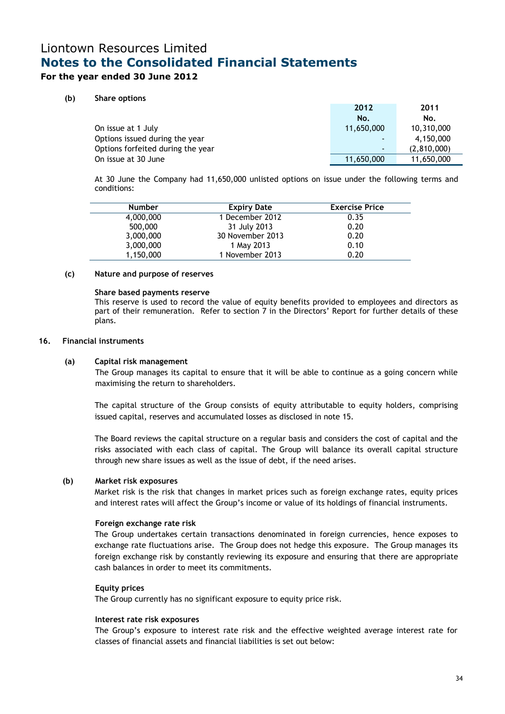# **(b) Share options**

|                                   | 2012       | 2011        |
|-----------------------------------|------------|-------------|
|                                   | No.        | No.         |
| On issue at 1 July                | 11,650,000 | 10,310,000  |
| Options issued during the year    | $\sim$     | 4,150,000   |
| Options forfeited during the year | $\sim$     | (2,810,000) |
| On issue at 30 June               | 11,650,000 | 11,650,000  |

At 30 June the Company had 11,650,000 unlisted options on issue under the following terms and conditions:

| <b>Number</b> | <b>Expiry Date</b> | <b>Exercise Price</b> |
|---------------|--------------------|-----------------------|
| 4,000,000     | 1 December 2012    | 0.35                  |
| 500,000       | 31 July 2013       | 0.20                  |
| 3,000,000     | 30 November 2013   | 0.20                  |
| 3,000,000     | 1 May 2013         | 0.10                  |
| 1,150,000     | 1 November 2013    | 0.20                  |

#### **(c) Nature and purpose of reserves**

#### **Share based payments reserve**

This reserve is used to record the value of equity benefits provided to employees and directors as part of their remuneration. Refer to section 7 in the Directors' Report for further details of these plans.

### **16. Financial instruments**

#### **(a) Capital risk management**

The Group manages its capital to ensure that it will be able to continue as a going concern while maximising the return to shareholders.

The capital structure of the Group consists of equity attributable to equity holders, comprising issued capital, reserves and accumulated losses as disclosed in note 15.

The Board reviews the capital structure on a regular basis and considers the cost of capital and the risks associated with each class of capital. The Group will balance its overall capital structure through new share issues as well as the issue of debt, if the need arises.

### **(b) Market risk exposures**

Market risk is the risk that changes in market prices such as foreign exchange rates, equity prices and interest rates will affect the Group's income or value of its holdings of financial instruments.

#### **Foreign exchange rate risk**

The Group undertakes certain transactions denominated in foreign currencies, hence exposes to exchange rate fluctuations arise. The Group does not hedge this exposure. The Group manages its foreign exchange risk by constantly reviewing its exposure and ensuring that there are appropriate cash balances in order to meet its commitments.

#### **Equity prices**

The Group currently has no significant exposure to equity price risk.

#### **Interest rate risk exposures**

The Group's exposure to interest rate risk and the effective weighted average interest rate for classes of financial assets and financial liabilities is set out below: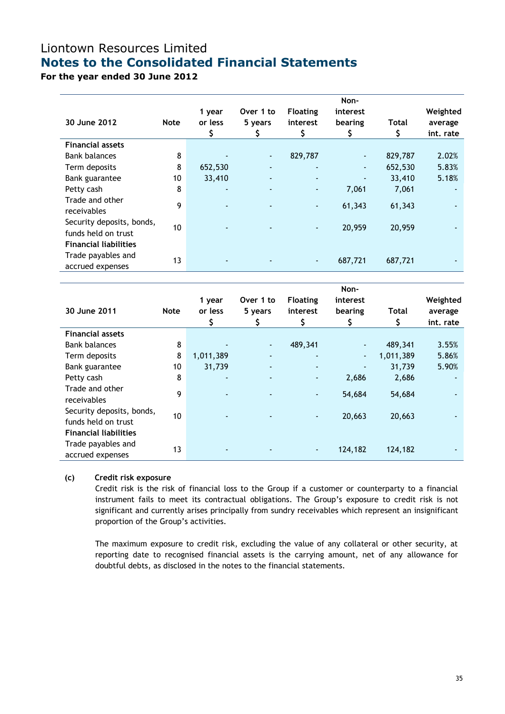**For the year ended 30 June 2012**

|                              |             |         |                          |                          | Non-           |         |           |
|------------------------------|-------------|---------|--------------------------|--------------------------|----------------|---------|-----------|
|                              |             | 1 year  | Over 1 to                | <b>Floating</b>          | interest       |         | Weighted  |
| 30 June 2012                 | <b>Note</b> | or less | 5 years                  | interest                 | bearing        | Total   | average   |
|                              |             | Ş       |                          | Ş                        | S              | S       | int. rate |
| <b>Financial assets</b>      |             |         |                          |                          |                |         |           |
| <b>Bank balances</b>         | 8           |         | ٠                        | 829,787                  | $\blacksquare$ | 829,787 | 2.02%     |
| Term deposits                | 8           | 652,530 |                          |                          | ٠              | 652,530 | 5.83%     |
| Bank guarantee               | 10          | 33,410  | $\overline{\phantom{a}}$ | $\overline{\phantom{a}}$ | $\blacksquare$ | 33,410  | 5.18%     |
| Petty cash                   | 8           |         |                          |                          | 7,061          | 7,061   |           |
| Trade and other              | 9           |         |                          |                          |                |         |           |
| receivables                  |             |         |                          |                          | 61,343         | 61,343  |           |
| Security deposits, bonds,    | 10          |         |                          |                          | 20,959         | 20,959  |           |
| funds held on trust          |             |         |                          |                          |                |         |           |
| <b>Financial liabilities</b> |             |         |                          |                          |                |         |           |
| Trade payables and           | 13          |         |                          |                          |                |         |           |
| accrued expenses             |             |         |                          |                          | 687,721        | 687,721 |           |

|                              |             |                          |           |                          | Non-           |           |           |
|------------------------------|-------------|--------------------------|-----------|--------------------------|----------------|-----------|-----------|
|                              |             | 1 year                   | Over 1 to | <b>Floating</b>          | interest       |           | Weighted  |
| 30 June 2011                 | <b>Note</b> | or less                  | 5 years   | interest                 | bearing        | Total     | average   |
|                              |             | Ş.                       | S         | S                        | S              | S         | int. rate |
| <b>Financial assets</b>      |             |                          |           |                          |                |           |           |
| <b>Bank balances</b>         | 8           |                          |           | 489,341                  |                | 489,341   | 3.55%     |
| Term deposits                | 8           | 1,011,389                | ۰         | $\blacksquare$           | $\blacksquare$ | 1,011,389 | 5.86%     |
| Bank guarantee               | 10          | 31,739                   |           |                          | $\blacksquare$ | 31,739    | 5.90%     |
| Petty cash                   | 8           |                          |           |                          | 2,686          | 2,686     |           |
| Trade and other              | 9           | $\overline{\phantom{0}}$ |           | $\overline{\phantom{a}}$ | 54,684         | 54,684    |           |
| receivables                  |             |                          |           |                          |                |           |           |
| Security deposits, bonds,    | 10          |                          |           |                          |                |           |           |
| funds held on trust          |             |                          |           |                          | 20,663         | 20,663    |           |
| <b>Financial liabilities</b> |             |                          |           |                          |                |           |           |
| Trade payables and           | 13          |                          |           |                          |                |           |           |
| accrued expenses             |             |                          |           | $\blacksquare$           | 124,182        | 124,182   |           |

# **(c) Credit risk exposure**

Credit risk is the risk of financial loss to the Group if a customer or counterparty to a financial instrument fails to meet its contractual obligations. The Group's exposure to credit risk is not significant and currently arises principally from sundry receivables which represent an insignificant proportion of the Group's activities.

The maximum exposure to credit risk, excluding the value of any collateral or other security, at reporting date to recognised financial assets is the carrying amount, net of any allowance for doubtful debts, as disclosed in the notes to the financial statements.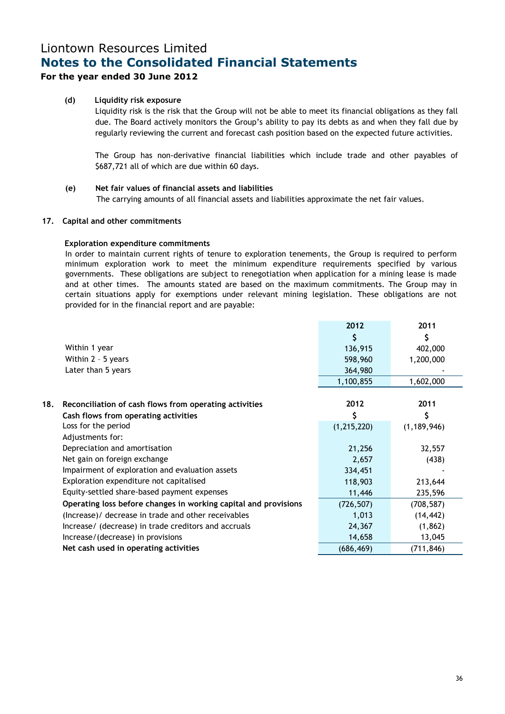# **For the year ended 30 June 2012**

### **(d) Liquidity risk exposure**

Liquidity risk is the risk that the Group will not be able to meet its financial obligations as they fall due. The Board actively monitors the Group's ability to pay its debts as and when they fall due by regularly reviewing the current and forecast cash position based on the expected future activities.

The Group has non-derivative financial liabilities which include trade and other payables of \$687,721 all of which are due within 60 days.

#### **(e) Net fair values of financial assets and liabilities**

The carrying amounts of all financial assets and liabilities approximate the net fair values.

#### **17. Capital and other commitments**

#### **Exploration expenditure commitments**

In order to maintain current rights of tenure to exploration tenements, the Group is required to perform minimum exploration work to meet the minimum expenditure requirements specified by various governments. These obligations are subject to renegotiation when application for a mining lease is made and at other times. The amounts stated are based on the maximum commitments. The Group may in certain situations apply for exemptions under relevant mining legislation. These obligations are not provided for in the financial report and are payable:

|     |                                                                 | 2012          | 2011          |
|-----|-----------------------------------------------------------------|---------------|---------------|
|     |                                                                 | \$            | \$            |
|     | Within 1 year                                                   | 136,915       | 402,000       |
|     | Within 2 - 5 years                                              | 598,960       | 1,200,000     |
|     | Later than 5 years                                              | 364,980       |               |
|     |                                                                 | 1,100,855     | 1,602,000     |
|     |                                                                 |               |               |
| 18. | Reconciliation of cash flows from operating activities          | 2012          | 2011          |
|     | Cash flows from operating activities                            | \$            | \$            |
|     | Loss for the period                                             | (1, 215, 220) | (1, 189, 946) |
|     | Adjustments for:                                                |               |               |
|     | Depreciation and amortisation                                   | 21,256        | 32,557        |
|     | Net gain on foreign exchange                                    | 2,657         | (438)         |
|     | Impairment of exploration and evaluation assets                 | 334,451       |               |
|     | Exploration expenditure not capitalised                         | 118,903       | 213,644       |
|     | Equity-settled share-based payment expenses                     | 11,446        | 235,596       |
|     | Operating loss before changes in working capital and provisions | (726, 507)    | (708, 587)    |
|     | (Increase)/ decrease in trade and other receivables             | 1,013         | (14, 442)     |
|     | Increase/ (decrease) in trade creditors and accruals            | 24,367        | (1,862)       |
|     | Increase/(decrease) in provisions                               | 14,658        | 13,045        |
|     | Net cash used in operating activities                           | (686, 469)    | (711, 846)    |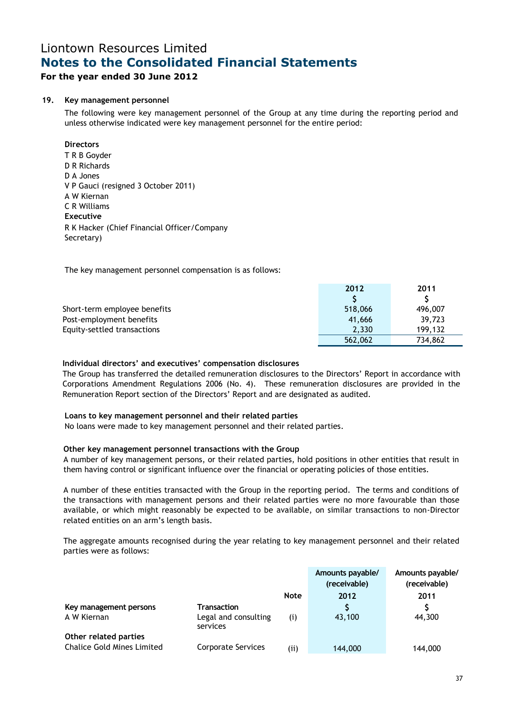# **For the year ended 30 June 2012**

### **19. Key management personnel**

The following were key management personnel of the Group at any time during the reporting period and unless otherwise indicated were key management personnel for the entire period:

### **Directors** T R B Goyder D R Richards D A Jones V P Gauci (resigned 3 October 2011) A W Kiernan C R Williams **Executive** R K Hacker (Chief Financial Officer/Company Secretary)

The key management personnel compensation is as follows:

|                              | 2012    | 2011    |
|------------------------------|---------|---------|
|                              |         |         |
| Short-term employee benefits | 518,066 | 496,007 |
| Post-employment benefits     | 41,666  | 39.723  |
| Equity-settled transactions  | 2.330   | 199.132 |
|                              | 562,062 | 734,862 |

### **Individual directors' and executives' compensation disclosures**

The Group has transferred the detailed remuneration disclosures to the Directors' Report in accordance with Corporations Amendment Regulations 2006 (No. 4). These remuneration disclosures are provided in the Remuneration Report section of the Directors' Report and are designated as audited.

### **Loans to key management personnel and their related parties**

No loans were made to key management personnel and their related parties.

### **Other key management personnel transactions with the Group**

A number of key management persons, or their related parties, hold positions in other entities that result in them having control or significant influence over the financial or operating policies of those entities.

A number of these entities transacted with the Group in the reporting period. The terms and conditions of the transactions with management persons and their related parties were no more favourable than those available, or which might reasonably be expected to be available, on similar transactions to non-Director related entities on an arm's length basis.

The aggregate amounts recognised during the year relating to key management personnel and their related parties were as follows:

|                                                            |                                                        |             | Amounts payable/<br>(receivable) | Amounts payable/<br>(receivable) |
|------------------------------------------------------------|--------------------------------------------------------|-------------|----------------------------------|----------------------------------|
|                                                            |                                                        | <b>Note</b> | 2012                             | 2011                             |
| Key management persons<br>A W Kiernan                      | <b>Transaction</b><br>Legal and consulting<br>services | (i)         | S<br>43,100                      | 44,300                           |
| Other related parties<br><b>Chalice Gold Mines Limited</b> | <b>Corporate Services</b>                              | (ii)        | 144,000                          | 144,000                          |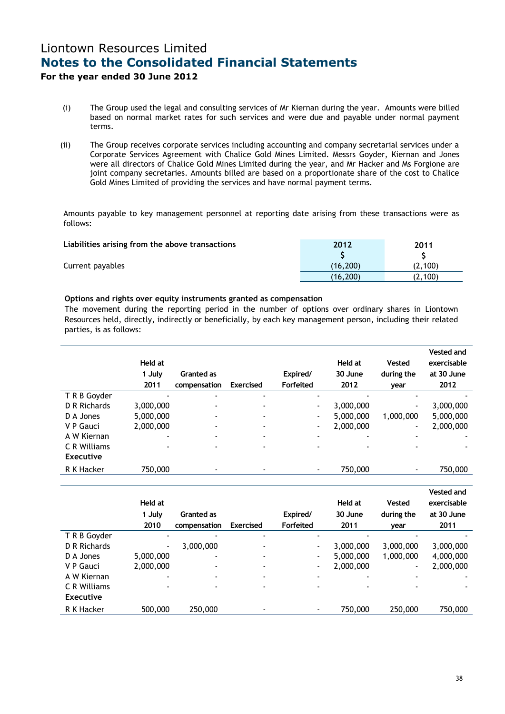# **For the year ended 30 June 2012**

- (i) The Group used the legal and consulting services of Mr Kiernan during the year. Amounts were billed based on normal market rates for such services and were due and payable under normal payment terms.
- (ii) The Group receives corporate services including accounting and company secretarial services under a Corporate Services Agreement with Chalice Gold Mines Limited. Messrs Goyder, Kiernan and Jones were all directors of Chalice Gold Mines Limited during the year, and Mr Hacker and Ms Forgione are joint company secretaries. Amounts billed are based on a proportionate share of the cost to Chalice Gold Mines Limited of providing the services and have normal payment terms.

Amounts payable to key management personnel at reporting date arising from these transactions were as follows:

| Liabilities arising from the above transactions | 2012      | 2011     |
|-------------------------------------------------|-----------|----------|
|                                                 |           |          |
| Current payables                                | (16, 200) | (2.100)  |
|                                                 | (16.200)  | (2, 100) |

### **Options and rights over equity instruments granted as compensation**

The movement during the reporting period in the number of options over ordinary shares in Liontown Resources held, directly, indirectly or beneficially, by each key management person, including their related parties, is as follows:

|                          |                   |                                                |                          |           |                | <b>Vested and</b> |
|--------------------------|-------------------|------------------------------------------------|--------------------------|-----------|----------------|-------------------|
| Held at                  |                   |                                                |                          | Held at   | Vested         | exercisable       |
| 1 July                   | <b>Granted as</b> |                                                | Expired/                 | 30 June   | during the     | at 30 June        |
| 2011                     | compensation      | <b>Exercised</b>                               | Forfeited                | 2012      | year           | 2012              |
| $\overline{\phantom{0}}$ | ۰                 | $\blacksquare$                                 | $\overline{\phantom{0}}$ |           |                |                   |
|                          | ۰                 |                                                |                          | 3,000,000 | $\blacksquare$ | 3,000,000         |
|                          | ٠                 |                                                |                          | 5,000,000 | 1,000,000      | 5,000,000         |
|                          | $\blacksquare$    |                                                | ۰                        | 2,000,000 | ٠              | 2,000,000         |
| $\overline{\phantom{0}}$ | ۰                 | $\blacksquare$                                 |                          |           |                |                   |
|                          | ۰                 |                                                |                          |           |                |                   |
|                          |                   |                                                |                          |           |                |                   |
|                          | $\blacksquare$    |                                                |                          | 750,000   |                | 750,000           |
|                          |                   | 3,000,000<br>5,000,000<br>2,000,000<br>750,000 |                          |           |                |                   |

|                     | Held at<br>1 July        | Granted as     |                  | Expired/  | Held at<br>30 June | Vested<br>during the | <b>Vested and</b><br>exercisable<br>at 30 June |
|---------------------|--------------------------|----------------|------------------|-----------|--------------------|----------------------|------------------------------------------------|
|                     | 2010                     | compensation   | <b>Exercised</b> | Forfeited | 2011               | year                 | 2011                                           |
| T R B Goyder        |                          |                |                  |           |                    |                      |                                                |
| D R Richards        | $\overline{\phantom{0}}$ | 3,000,000      |                  |           | 3,000,000          | 3,000,000            | 3,000,000                                      |
| D A Jones           | 5,000,000                | -              |                  | ۰.        | 5,000,000          | 1,000,000            | 4,000,000                                      |
| V P Gauci           | 2,000,000                | $\blacksquare$ |                  | ٠         | 2,000,000          | ۰.                   | 2,000,000                                      |
| A W Kiernan         |                          | ۰              |                  |           |                    |                      |                                                |
| <b>C R Williams</b> |                          | $\blacksquare$ |                  |           |                    |                      |                                                |
| <b>Executive</b>    |                          |                |                  |           |                    |                      |                                                |
| R K Hacker          | 500,000                  | 250,000        |                  |           | 750,000            | 250,000              | 750,000                                        |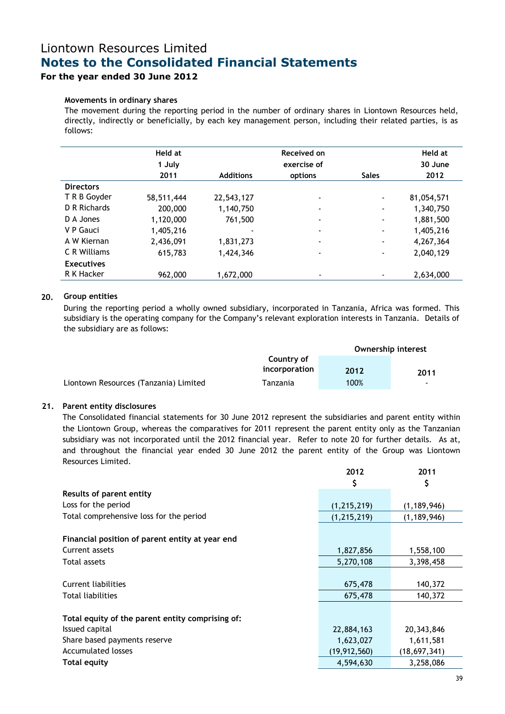# **For the year ended 30 June 2012**

### **Movements in ordinary shares**

The movement during the reporting period in the number of ordinary shares in Liontown Resources held, directly, indirectly or beneficially, by each key management person, including their related parties, is as follows:

|                   | Held at    |                  | Received on |              | <b>Held at</b> |
|-------------------|------------|------------------|-------------|--------------|----------------|
|                   | 1 July     |                  | exercise of |              | 30 June        |
|                   | 2011       | <b>Additions</b> | options     | <b>Sales</b> | 2012           |
| <b>Directors</b>  |            |                  |             |              |                |
| T R B Goyder      | 58,511,444 | 22,543,127       | ۰           | ۰            | 81,054,571     |
| D R Richards      | 200,000    | 1,140,750        | ۰           | ۰            | 1,340,750      |
| D A Jones         | 1,120,000  | 761,500          | ۰           | ۰            | 1,881,500      |
| V P Gauci         | 1,405,216  |                  | ۰           | ۰            | 1,405,216      |
| A W Kiernan       | 2,436,091  | 1,831,273        | ۰           | ۰            | 4,267,364      |
| C R Williams      | 615,783    | 1,424,346        | ۰           | ۰            | 2,040,129      |
| <b>Executives</b> |            |                  |             |              |                |
| R K Hacker        | 962,000    | 1,672,000        | ٠           |              | 2,634,000      |

### **20. Group entities**

During the reporting period a wholly owned subsidiary, incorporated in Tanzania, Africa was formed. This subsidiary is the operating company for the Company's relevant exploration interests in Tanzania. Details of the subsidiary are as follows:

|                                       |               | Ownership interest |                          |
|---------------------------------------|---------------|--------------------|--------------------------|
|                                       | Country of    |                    |                          |
|                                       | incorporation | 2012               | 2011                     |
| Liontown Resources (Tanzania) Limited | Tanzania      | 100%               | $\overline{\phantom{a}}$ |

#### **21. Parent entity disclosures**

The Consolidated financial statements for 30 June 2012 represent the subsidiaries and parent entity within the Liontown Group, whereas the comparatives for 2011 represent the parent entity only as the Tanzanian subsidiary was not incorporated until the 2012 financial year. Refer to note 20 for further details. As at, and throughout the financial year ended 30 June 2012 the parent entity of the Group was Liontown Resources Limited.

|                                                  | 2012           | 2011           |
|--------------------------------------------------|----------------|----------------|
|                                                  | \$             | \$             |
| Results of parent entity                         |                |                |
| Loss for the period                              | (1, 215, 219)  | (1, 189, 946)  |
| Total comprehensive loss for the period          | (1, 215, 219)  | (1, 189, 946)  |
|                                                  |                |                |
| Financial position of parent entity at year end  |                |                |
| Current assets                                   | 1,827,856      | 1,558,100      |
| Total assets                                     | 5,270,108      | 3,398,458      |
|                                                  |                |                |
| Current liabilities                              | 675,478        | 140,372        |
| <b>Total liabilities</b>                         | 675,478        | 140,372        |
|                                                  |                |                |
| Total equity of the parent entity comprising of: |                |                |
| Issued capital                                   | 22,884,163     | 20, 343, 846   |
| Share based payments reserve                     | 1,623,027      | 1,611,581      |
| <b>Accumulated losses</b>                        | (19, 912, 560) | (18, 697, 341) |
| <b>Total equity</b>                              | 4,594,630      | 3,258,086      |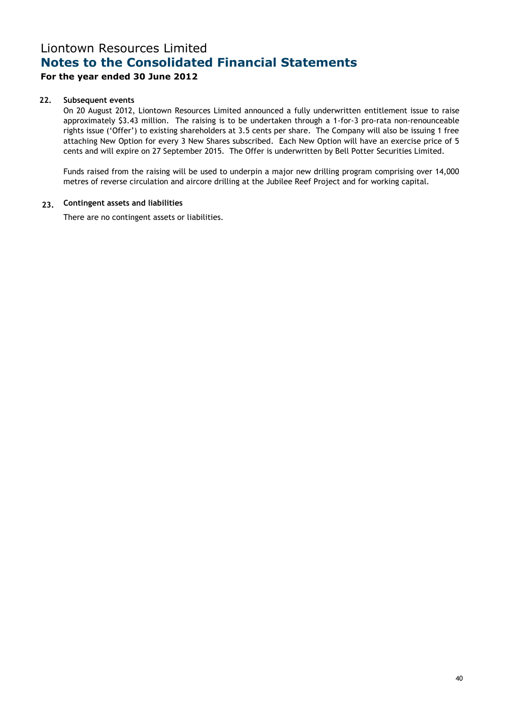# **For the year ended 30 June 2012**

# **22. Subsequent events**

On 20 August 2012, Liontown Resources Limited announced a fully underwritten entitlement issue to raise approximately \$3.43 million. The raising is to be undertaken through a 1-for-3 pro-rata non-renounceable rights issue ('Offer') to existing shareholders at 3.5 cents per share. The Company will also be issuing 1 free attaching New Option for every 3 New Shares subscribed. Each New Option will have an exercise price of 5 cents and will expire on 27 September 2015. The Offer is underwritten by Bell Potter Securities Limited.

Funds raised from the raising will be used to underpin a major new drilling program comprising over 14,000 metres of reverse circulation and aircore drilling at the Jubilee Reef Project and for working capital.

# **23. Contingent assets and liabilities**

There are no contingent assets or liabilities.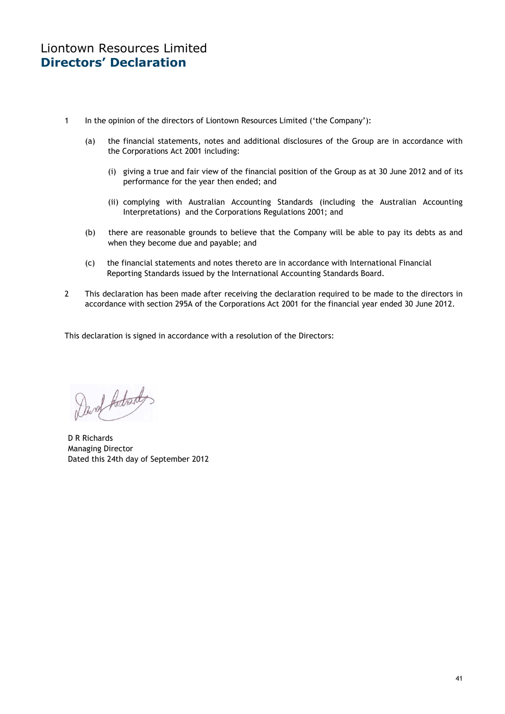- 1 In the opinion of the directors of Liontown Resources Limited ('the Company'):
	- (a) the financial statements, notes and additional disclosures of the Group are in accordance with the Corporations Act 2001 including:
		- (i) giving a true and fair view of the financial position of the Group as at 30 June 2012 and of its performance for the year then ended; and
		- (ii) complying with Australian Accounting Standards (including the Australian Accounting Interpretations) and the Corporations Regulations 2001; and
	- (b) there are reasonable grounds to believe that the Company will be able to pay its debts as and when they become due and payable; and
	- (c) the financial statements and notes thereto are in accordance with International Financial Reporting Standards issued by the International Accounting Standards Board.
- 2 This declaration has been made after receiving the declaration required to be made to the directors in accordance with section 295A of the Corporations Act 2001 for the financial year ended 30 June 2012.

This declaration is signed in accordance with a resolution of the Directors:

David Adrady

D R Richards Managing Director Dated this 24th day of September 2012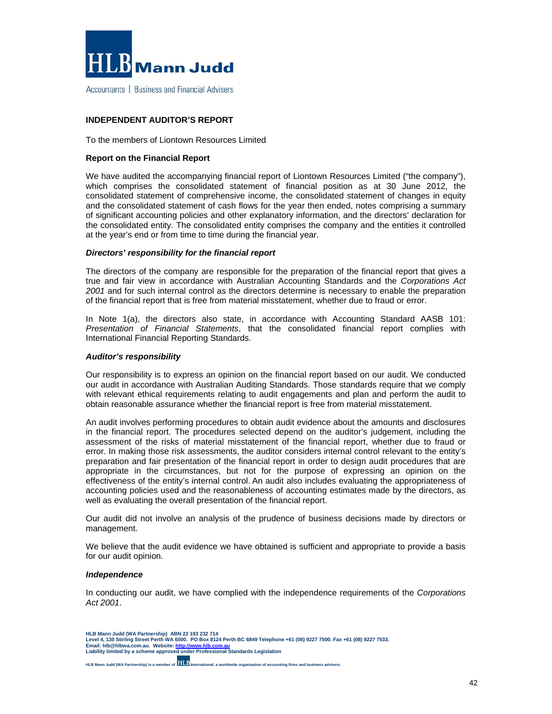

Accountants | Business and Financial Advisers

#### **INDEPENDENT AUDITOR'S REPORT**

To the members of Liontown Resources Limited

#### **Report on the Financial Report**

We have audited the accompanying financial report of Liontown Resources Limited ("the company"), which comprises the consolidated statement of financial position as at 30 June 2012, the consolidated statement of comprehensive income, the consolidated statement of changes in equity and the consolidated statement of cash flows for the year then ended, notes comprising a summary of significant accounting policies and other explanatory information, and the directors' declaration for the consolidated entity. The consolidated entity comprises the company and the entities it controlled at the year's end or from time to time during the financial year.

#### *Directors' responsibility for the financial report*

The directors of the company are responsible for the preparation of the financial report that gives a true and fair view in accordance with Australian Accounting Standards and the *Corporations Act 2001* and for such internal control as the directors determine is necessary to enable the preparation of the financial report that is free from material misstatement, whether due to fraud or error.

In Note 1(a), the directors also state, in accordance with Accounting Standard AASB 101: *Presentation of Financial Statements*, that the consolidated financial report complies with International Financial Reporting Standards.

#### *Auditor's responsibility*

Our responsibility is to express an opinion on the financial report based on our audit. We conducted our audit in accordance with Australian Auditing Standards. Those standards require that we comply with relevant ethical requirements relating to audit engagements and plan and perform the audit to obtain reasonable assurance whether the financial report is free from material misstatement.

An audit involves performing procedures to obtain audit evidence about the amounts and disclosures in the financial report. The procedures selected depend on the auditor's judgement, including the assessment of the risks of material misstatement of the financial report, whether due to fraud or error. In making those risk assessments, the auditor considers internal control relevant to the entity's preparation and fair presentation of the financial report in order to design audit procedures that are appropriate in the circumstances, but not for the purpose of expressing an opinion on the effectiveness of the entity's internal control. An audit also includes evaluating the appropriateness of accounting policies used and the reasonableness of accounting estimates made by the directors, as well as evaluating the overall presentation of the financial report.

Our audit did not involve an analysis of the prudence of business decisions made by directors or management.

We believe that the audit evidence we have obtained is sufficient and appropriate to provide a basis for our audit opinion.

#### *Independence*

In conducting our audit, we have complied with the independence requirements of the *Corporations Act 2001*.

**HLB Mann Judd (WA Partnership) ABN 22 193 232 714 Level 4, 130 Stirling Street Perth WA 6000. PO Box 8124 Perth BC 6849 Telephone +61 (08) 9227 7500. Fax +61 (08) 9227 7533. Email: hlb@hlbwa.com.au. Website: http://www.hlb.com.au Liability limited by a scheme approved under Professional Standards Legislation** 

**HLB Mann Judd (WA Partnership) is a member of**  $\textbf{HLB}$  **International, a worldwide organisation of accounting firms and business advisers.**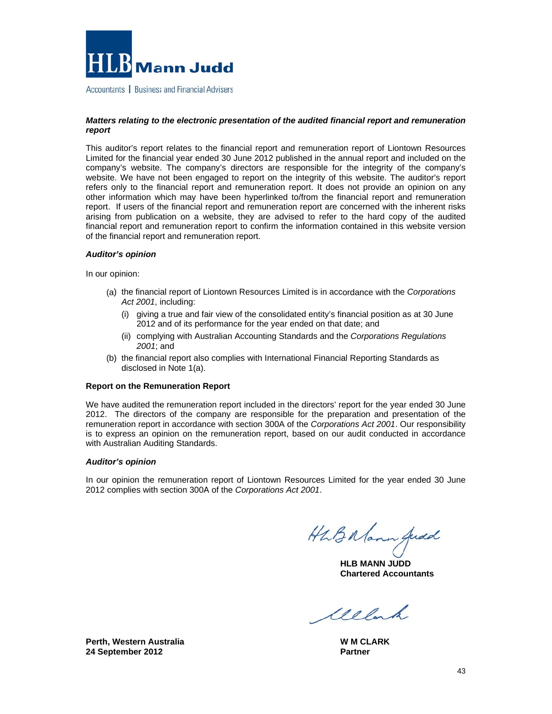

Accountants | Business and Financial Advisers

#### *Matters relating to the electronic presentation of the audited financial report and remuneration report*

This auditor's report relates to the financial report and remuneration report of Liontown Resources Limited for the financial year ended 30 June 2012 published in the annual report and included on the company's website. The company's directors are responsible for the integrity of the company's website. We have not been engaged to report on the integrity of this website. The auditor's report refers only to the financial report and remuneration report. It does not provide an opinion on any other information which may have been hyperlinked to/from the financial report and remuneration report. If users of the financial report and remuneration report are concerned with the inherent risks arising from publication on a website, they are advised to refer to the hard copy of the audited financial report and remuneration report to confirm the information contained in this website version of the financial report and remuneration report. **2***nice dectronic presenta<br> 2 2 <i>nice dectronic presenta*<br> **2** *nice definancial year ended 30 June ont been engaged to report<br>
<b>2 innerical report and remulting the financial report and remulting the f* 

#### *Auditor r's opinion*

In our o pinion:

- (a) the financial report of Liontown Resources Limited is in accordance with the *Corporations Act 2001*, including:
	- (i) giving a true and fair view of the consolidated entity's financial position as at 30 June 2012 and of its performance for the year ended on that date; and
	- (ii) complying with Australian Accounting Standards and the Corporations Regulations *2001*; and
- (b) the financial report also complies with International Financial Reporting Standards as disclosed in Note 1(a).

#### **Report on the Rem muneration R Report**

We have audited the remuneration report included in the directors' report for the year ended 30 June 2012. The directors of the company are responsible for the preparation and presentation of the remuneration report in accordance with section 300A of the *Corporations Act 2001*. Our responsibility is to express an opinion on the remuneration report, based on our audit conducted in accordance with Australian Auditing Standards.

#### *Auditor r's opinion*

In our opinion the remuneration report of Liontown Resources Limited for the year ended 30 June 2012 complies with section 300A of the *Corporations Act* 2001.

HLBMann Judd

**H HLB MANN J JUDD C Chartered A Accountants**

Melak

**W W M CLARK K P Partner** 

**Perth, Western Australia 24 Sept tember 2012**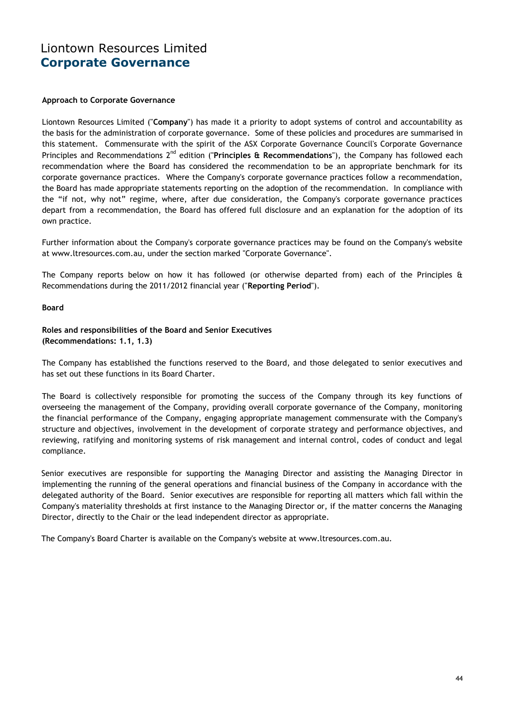#### **Approach to Corporate Governance**

Liontown Resources Limited ("**Company**") has made it a priority to adopt systems of control and accountability as the basis for the administration of corporate governance. Some of these policies and procedures are summarised in this statement. Commensurate with the spirit of the ASX Corporate Governance Council's Corporate Governance Principles and Recommendations 2nd edition ("**Principles & Recommendations**"), the Company has followed each recommendation where the Board has considered the recommendation to be an appropriate benchmark for its corporate governance practices. Where the Company's corporate governance practices follow a recommendation, the Board has made appropriate statements reporting on the adoption of the recommendation. In compliance with the "if not, why not" regime, where, after due consideration, the Company's corporate governance practices depart from a recommendation, the Board has offered full disclosure and an explanation for the adoption of its own practice.

Further information about the Company's corporate governance practices may be found on the Company's website at www.ltresources.com.au, under the section marked "Corporate Governance".

The Company reports below on how it has followed (or otherwise departed from) each of the Principles & Recommendations during the 2011/2012 financial year ("**Reporting Period**").

### **Board**

**Roles and responsibilities of the Board and Senior Executives (Recommendations: 1.1, 1.3)**

The Company has established the functions reserved to the Board, and those delegated to senior executives and has set out these functions in its Board Charter.

The Board is collectively responsible for promoting the success of the Company through its key functions of overseeing the management of the Company, providing overall corporate governance of the Company, monitoring the financial performance of the Company, engaging appropriate management commensurate with the Company's structure and objectives, involvement in the development of corporate strategy and performance objectives, and reviewing, ratifying and monitoring systems of risk management and internal control, codes of conduct and legal compliance.

Senior executives are responsible for supporting the Managing Director and assisting the Managing Director in implementing the running of the general operations and financial business of the Company in accordance with the delegated authority of the Board. Senior executives are responsible for reporting all matters which fall within the Company's materiality thresholds at first instance to the Managing Director or, if the matter concerns the Managing Director, directly to the Chair or the lead independent director as appropriate.

The Company's Board Charter is available on the Company's website at www.ltresources.com.au.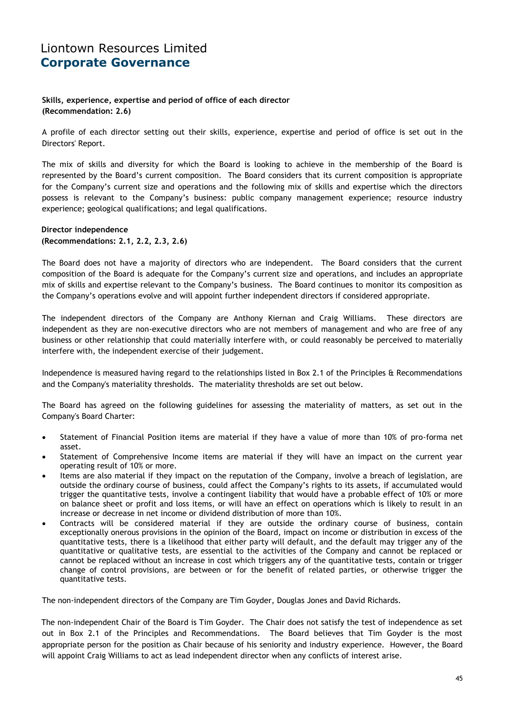### **Skills, experience, expertise and period of office of each director (Recommendation: 2.6)**

A profile of each director setting out their skills, experience, expertise and period of office is set out in the Directors' Report.

The mix of skills and diversity for which the Board is looking to achieve in the membership of the Board is represented by the Board's current composition. The Board considers that its current composition is appropriate for the Company's current size and operations and the following mix of skills and expertise which the directors possess is relevant to the Company's business: public company management experience; resource industry experience; geological qualifications; and legal qualifications.

### **Director independence (Recommendations: 2.1, 2.2, 2.3, 2.6)**

The Board does not have a majority of directors who are independent. The Board considers that the current composition of the Board is adequate for the Company's current size and operations, and includes an appropriate mix of skills and expertise relevant to the Company's business. The Board continues to monitor its composition as the Company's operations evolve and will appoint further independent directors if considered appropriate.

The independent directors of the Company are Anthony Kiernan and Craig Williams. These directors are independent as they are non-executive directors who are not members of management and who are free of any business or other relationship that could materially interfere with, or could reasonably be perceived to materially interfere with, the independent exercise of their judgement.

Independence is measured having regard to the relationships listed in Box 2.1 of the Principles & Recommendations and the Company's materiality thresholds. The materiality thresholds are set out below.

The Board has agreed on the following guidelines for assessing the materiality of matters, as set out in the Company's Board Charter:

- Statement of Financial Position items are material if they have a value of more than 10% of pro-forma net asset.
- Statement of Comprehensive Income items are material if they will have an impact on the current year operating result of 10% or more.
- Items are also material if they impact on the reputation of the Company, involve a breach of legislation, are outside the ordinary course of business, could affect the Company's rights to its assets, if accumulated would trigger the quantitative tests, involve a contingent liability that would have a probable effect of 10% or more on balance sheet or profit and loss items, or will have an effect on operations which is likely to result in an increase or decrease in net income or dividend distribution of more than 10%.
- Contracts will be considered material if they are outside the ordinary course of business, contain exceptionally onerous provisions in the opinion of the Board, impact on income or distribution in excess of the quantitative tests, there is a likelihood that either party will default, and the default may trigger any of the quantitative or qualitative tests, are essential to the activities of the Company and cannot be replaced or cannot be replaced without an increase in cost which triggers any of the quantitative tests, contain or trigger change of control provisions, are between or for the benefit of related parties, or otherwise trigger the quantitative tests.

The non-independent directors of the Company are Tim Goyder, Douglas Jones and David Richards.

The non-independent Chair of the Board is Tim Goyder. The Chair does not satisfy the test of independence as set out in Box 2.1 of the Principles and Recommendations. The Board believes that Tim Goyder is the most appropriate person for the position as Chair because of his seniority and industry experience. However, the Board will appoint Craig Williams to act as lead independent director when any conflicts of interest arise.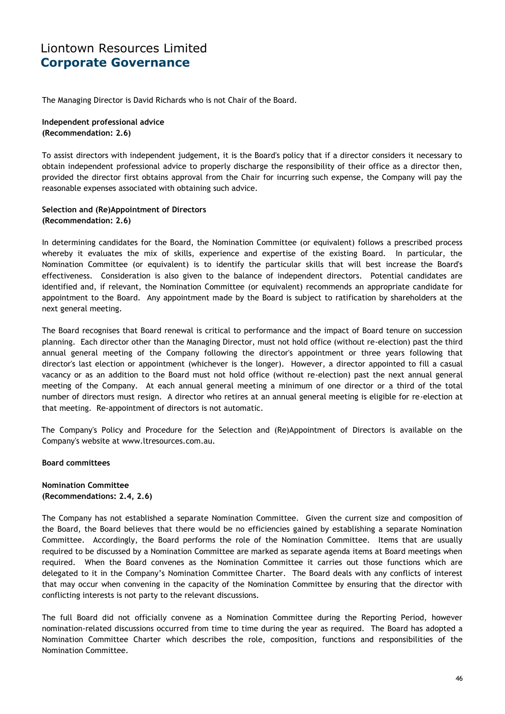The Managing Director is David Richards who is not Chair of the Board.

### **Independent professional advice (Recommendation: 2.6)**

To assist directors with independent judgement, it is the Board's policy that if a director considers it necessary to obtain independent professional advice to properly discharge the responsibility of their office as a director then, provided the director first obtains approval from the Chair for incurring such expense, the Company will pay the reasonable expenses associated with obtaining such advice.

### **Selection and (Re)Appointment of Directors (Recommendation: 2.6)**

In determining candidates for the Board, the Nomination Committee (or equivalent) follows a prescribed process whereby it evaluates the mix of skills, experience and expertise of the existing Board. In particular, the Nomination Committee (or equivalent) is to identify the particular skills that will best increase the Board's effectiveness. Consideration is also given to the balance of independent directors. Potential candidates are identified and, if relevant, the Nomination Committee (or equivalent) recommends an appropriate candidate for appointment to the Board. Any appointment made by the Board is subject to ratification by shareholders at the next general meeting.

The Board recognises that Board renewal is critical to performance and the impact of Board tenure on succession planning. Each director other than the Managing Director, must not hold office (without re-election) past the third annual general meeting of the Company following the director's appointment or three years following that director's last election or appointment (whichever is the longer). However, a director appointed to fill a casual vacancy or as an addition to the Board must not hold office (without re-election) past the next annual general meeting of the Company. At each annual general meeting a minimum of one director or a third of the total number of directors must resign. A director who retires at an annual general meeting is eligible for re-election at that meeting. Re-appointment of directors is not automatic.

The Company's Policy and Procedure for the Selection and (Re)Appointment of Directors is available on the Company's website at www.ltresources.com.au.

### **Board committees**

### **Nomination Committee (Recommendations: 2.4, 2.6)**

The Company has not established a separate Nomination Committee. Given the current size and composition of the Board, the Board believes that there would be no efficiencies gained by establishing a separate Nomination Committee. Accordingly, the Board performs the role of the Nomination Committee. Items that are usually required to be discussed by a Nomination Committee are marked as separate agenda items at Board meetings when required. When the Board convenes as the Nomination Committee it carries out those functions which are delegated to it in the Company's Nomination Committee Charter. The Board deals with any conflicts of interest that may occur when convening in the capacity of the Nomination Committee by ensuring that the director with conflicting interests is not party to the relevant discussions.

The full Board did not officially convene as a Nomination Committee during the Reporting Period, however nomination-related discussions occurred from time to time during the year as required. The Board has adopted a Nomination Committee Charter which describes the role, composition, functions and responsibilities of the Nomination Committee.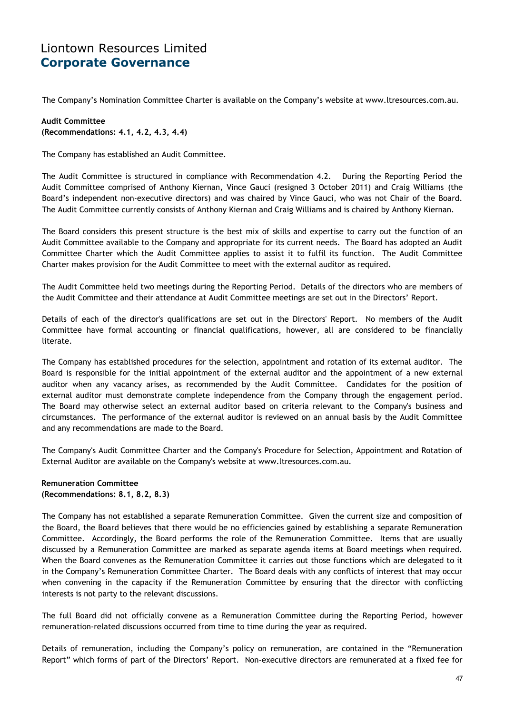The Company's Nomination Committee Charter is available on the Company's website at www.ltresources.com.au.

### **Audit Committee (Recommendations: 4.1, 4.2, 4.3, 4.4)**

The Company has established an Audit Committee.

The Audit Committee is structured in compliance with Recommendation 4.2. During the Reporting Period the Audit Committee comprised of Anthony Kiernan, Vince Gauci (resigned 3 October 2011) and Craig Williams (the Board's independent non-executive directors) and was chaired by Vince Gauci, who was not Chair of the Board. The Audit Committee currently consists of Anthony Kiernan and Craig Williams and is chaired by Anthony Kiernan.

The Board considers this present structure is the best mix of skills and expertise to carry out the function of an Audit Committee available to the Company and appropriate for its current needs. The Board has adopted an Audit Committee Charter which the Audit Committee applies to assist it to fulfil its function. The Audit Committee Charter makes provision for the Audit Committee to meet with the external auditor as required.

The Audit Committee held two meetings during the Reporting Period. Details of the directors who are members of the Audit Committee and their attendance at Audit Committee meetings are set out in the Directors' Report.

Details of each of the director's qualifications are set out in the Directors' Report. No members of the Audit Committee have formal accounting or financial qualifications, however, all are considered to be financially literate.

The Company has established procedures for the selection, appointment and rotation of its external auditor. The Board is responsible for the initial appointment of the external auditor and the appointment of a new external auditor when any vacancy arises, as recommended by the Audit Committee. Candidates for the position of external auditor must demonstrate complete independence from the Company through the engagement period. The Board may otherwise select an external auditor based on criteria relevant to the Company's business and circumstances. The performance of the external auditor is reviewed on an annual basis by the Audit Committee and any recommendations are made to the Board.

The Company's Audit Committee Charter and the Company's Procedure for Selection, Appointment and Rotation of External Auditor are available on the Company's website at www.ltresources.com.au.

### **Remuneration Committee (Recommendations: 8.1, 8.2, 8.3)**

The Company has not established a separate Remuneration Committee. Given the current size and composition of the Board, the Board believes that there would be no efficiencies gained by establishing a separate Remuneration Committee. Accordingly, the Board performs the role of the Remuneration Committee. Items that are usually discussed by a Remuneration Committee are marked as separate agenda items at Board meetings when required. When the Board convenes as the Remuneration Committee it carries out those functions which are delegated to it in the Company's Remuneration Committee Charter. The Board deals with any conflicts of interest that may occur when convening in the capacity if the Remuneration Committee by ensuring that the director with conflicting interests is not party to the relevant discussions.

The full Board did not officially convene as a Remuneration Committee during the Reporting Period, however remuneration-related discussions occurred from time to time during the year as required.

Details of remuneration, including the Company's policy on remuneration, are contained in the "Remuneration Report" which forms of part of the Directors' Report. Non-executive directors are remunerated at a fixed fee for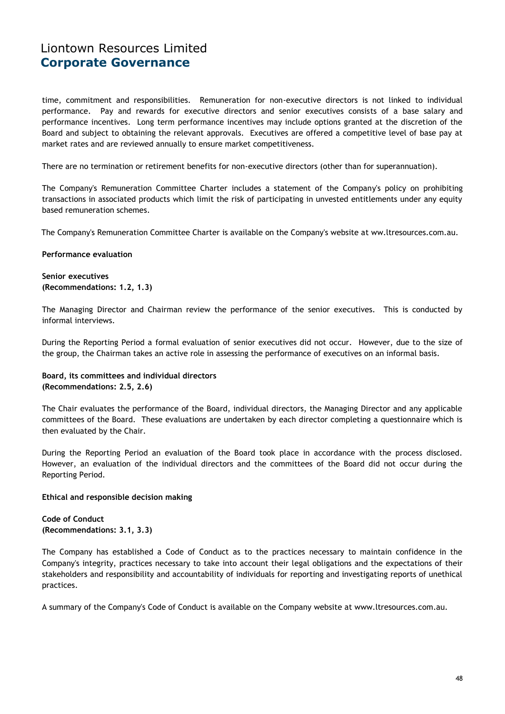time, commitment and responsibilities. Remuneration for non-executive directors is not linked to individual performance. Pay and rewards for executive directors and senior executives consists of a base salary and performance incentives. Long term performance incentives may include options granted at the discretion of the Board and subject to obtaining the relevant approvals. Executives are offered a competitive level of base pay at market rates and are reviewed annually to ensure market competitiveness.

There are no termination or retirement benefits for non-executive directors (other than for superannuation).

The Company's Remuneration Committee Charter includes a statement of the Company's policy on prohibiting transactions in associated products which limit the risk of participating in unvested entitlements under any equity based remuneration schemes.

The Company's Remuneration Committee Charter is available on the Company's website at ww.ltresources.com.au.

#### **Performance evaluation**

### **Senior executives (Recommendations: 1.2, 1.3)**

The Managing Director and Chairman review the performance of the senior executives. This is conducted by informal interviews.

During the Reporting Period a formal evaluation of senior executives did not occur. However, due to the size of the group, the Chairman takes an active role in assessing the performance of executives on an informal basis.

# **Board, its committees and individual directors (Recommendations: 2.5, 2.6)**

The Chair evaluates the performance of the Board, individual directors, the Managing Director and any applicable committees of the Board. These evaluations are undertaken by each director completing a questionnaire which is then evaluated by the Chair.

During the Reporting Period an evaluation of the Board took place in accordance with the process disclosed. However, an evaluation of the individual directors and the committees of the Board did not occur during the Reporting Period.

### **Ethical and responsible decision making**

**Code of Conduct (Recommendations: 3.1, 3.3)**

The Company has established a Code of Conduct as to the practices necessary to maintain confidence in the Company's integrity, practices necessary to take into account their legal obligations and the expectations of their stakeholders and responsibility and accountability of individuals for reporting and investigating reports of unethical practices.

A summary of the Company's Code of Conduct is available on the Company website at www.ltresources.com.au.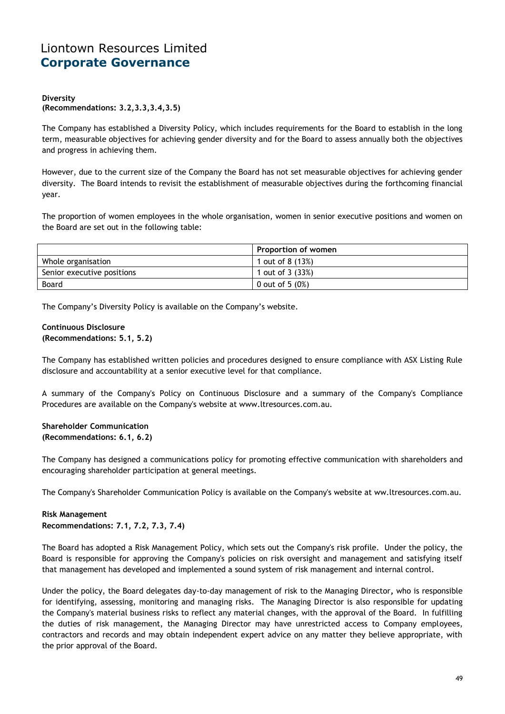#### **Diversity (Recommendations: 3.2,3.3,3.4,3.5)**

The Company has established a Diversity Policy, which includes requirements for the Board to establish in the long term, measurable objectives for achieving gender diversity and for the Board to assess annually both the objectives and progress in achieving them.

However, due to the current size of the Company the Board has not set measurable objectives for achieving gender diversity. The Board intends to revisit the establishment of measurable objectives during the forthcoming financial year.

The proportion of women employees in the whole organisation, women in senior executive positions and women on the Board are set out in the following table:

|                            | Proportion of women |
|----------------------------|---------------------|
| Whole organisation         | 1 out of 8 (13%)    |
| Senior executive positions | 1 out of 3 (33%)    |
| Board                      | 0 out of 5 $(0%)$   |

The Company's Diversity Policy is available on the Company's website.

### **Continuous Disclosure (Recommendations: 5.1, 5.2)**

The Company has established written policies and procedures designed to ensure compliance with ASX Listing Rule disclosure and accountability at a senior executive level for that compliance.

A summary of the Company's Policy on Continuous Disclosure and a summary of the Company's Compliance Procedures are available on the Company's website at www.ltresources.com.au.

### **Shareholder Communication (Recommendations: 6.1, 6.2)**

The Company has designed a communications policy for promoting effective communication with shareholders and encouraging shareholder participation at general meetings.

The Company's Shareholder Communication Policy is available on the Company's website at ww.ltresources.com.au.

### **Risk Management Recommendations: 7.1, 7.2, 7.3, 7.4)**

The Board has adopted a Risk Management Policy, which sets out the Company's risk profile. Under the policy, the Board is responsible for approving the Company's policies on risk oversight and management and satisfying itself that management has developed and implemented a sound system of risk management and internal control.

Under the policy, the Board delegates day-to-day management of risk to the Managing Director**,** who is responsible for identifying, assessing, monitoring and managing risks. The Managing Director is also responsible for updating the Company's material business risks to reflect any material changes, with the approval of the Board. In fulfilling the duties of risk management, the Managing Director may have unrestricted access to Company employees, contractors and records and may obtain independent expert advice on any matter they believe appropriate, with the prior approval of the Board.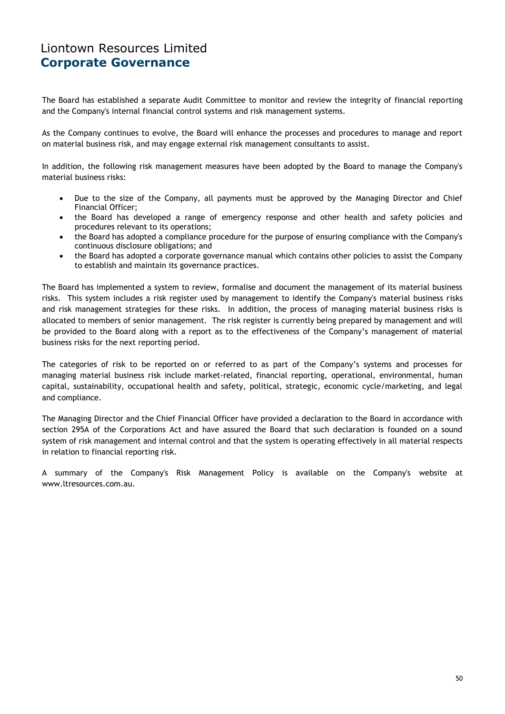The Board has established a separate Audit Committee to monitor and review the integrity of financial reporting and the Company's internal financial control systems and risk management systems.

As the Company continues to evolve, the Board will enhance the processes and procedures to manage and report on material business risk, and may engage external risk management consultants to assist.

In addition, the following risk management measures have been adopted by the Board to manage the Company's material business risks:

- Due to the size of the Company, all payments must be approved by the Managing Director and Chief Financial Officer;
- the Board has developed a range of emergency response and other health and safety policies and procedures relevant to its operations;
- the Board has adopted a compliance procedure for the purpose of ensuring compliance with the Company's continuous disclosure obligations; and
- the Board has adopted a corporate governance manual which contains other policies to assist the Company to establish and maintain its governance practices.

The Board has implemented a system to review, formalise and document the management of its material business risks. This system includes a risk register used by management to identify the Company's material business risks and risk management strategies for these risks. In addition, the process of managing material business risks is allocated to members of senior management. The risk register is currently being prepared by management and will be provided to the Board along with a report as to the effectiveness of the Company's management of material business risks for the next reporting period.

The categories of risk to be reported on or referred to as part of the Company's systems and processes for managing material business risk include market-related, financial reporting, operational, environmental, human capital, sustainability, occupational health and safety, political, strategic, economic cycle/marketing, and legal and compliance.

The Managing Director and the Chief Financial Officer have provided a declaration to the Board in accordance with section 295A of the Corporations Act and have assured the Board that such declaration is founded on a sound system of risk management and internal control and that the system is operating effectively in all material respects in relation to financial reporting risk.

A summary of the Company's Risk Management Policy is available on the Company's website at www.ltresources.com.au.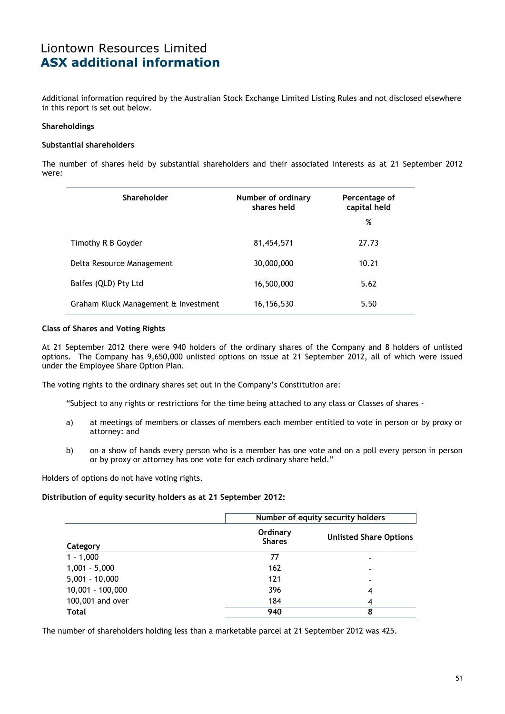# Liontown Resources Limited **ASX additional information**

Additional information required by the Australian Stock Exchange Limited Listing Rules and not disclosed elsewhere in this report is set out below.

#### **Shareholdings**

#### **Substantial shareholders**

The number of shares held by substantial shareholders and their associated interests as at 21 September 2012 were:

| Shareholder                          | Number of ordinary<br>shares held | Percentage of<br>capital held |
|--------------------------------------|-----------------------------------|-------------------------------|
|                                      |                                   | %                             |
| Timothy R B Goyder                   | 81,454,571                        | 27.73                         |
| Delta Resource Management            | 30,000,000                        | 10.21                         |
| Balfes (QLD) Pty Ltd                 | 16,500,000                        | 5.62                          |
| Graham Kluck Management & Investment | 16,156,530                        | 5.50                          |

#### **Class of Shares and Voting Rights**

At 21 September 2012 there were 940 holders of the ordinary shares of the Company and 8 holders of unlisted options. The Company has 9,650,000 unlisted options on issue at 21 September 2012, all of which were issued under the Employee Share Option Plan.

The voting rights to the ordinary shares set out in the Company's Constitution are:

"Subject to any rights or restrictions for the time being attached to any class or Classes of shares -

- a) at meetings of members or classes of members each member entitled to vote in person or by proxy or attorney: and
- b) on a show of hands every person who is a member has one vote and on a poll every person in person or by proxy or attorney has one vote for each ordinary share held."

Holders of options do not have voting rights.

#### **Distribution of equity security holders as at 21 September 2012:**

|                    | Number of equity security holders |                               |  |
|--------------------|-----------------------------------|-------------------------------|--|
| Category           | Ordinary<br><b>Shares</b>         | <b>Unlisted Share Options</b> |  |
| $1 - 1,000$        | 77                                | $\overline{\phantom{0}}$      |  |
| $1,001 - 5,000$    | 162                               | $\overline{\phantom{0}}$      |  |
| $5,001 - 10,000$   | 121                               | $\overline{\phantom{0}}$      |  |
| $10,001 - 100,000$ | 396                               | 4                             |  |
| 100,001 and over   | 184                               | 4                             |  |
| Total              | 940                               | 8                             |  |

The number of shareholders holding less than a marketable parcel at 21 September 2012 was 425.